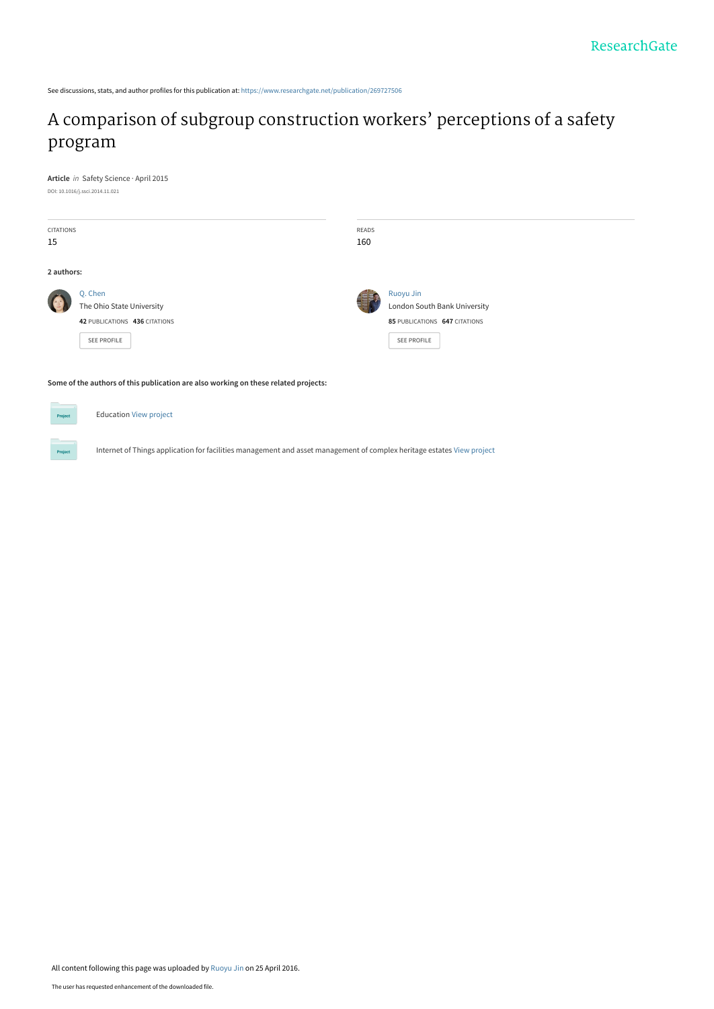See discussions, stats, and author profiles for this publication at: [https://www.researchgate.net/publication/269727506](https://www.researchgate.net/publication/269727506_A_comparison_of_subgroup_construction_workers%27_perceptions_of_a_safety_program?enrichId=rgreq-e02e04829ac770b102e4cf8c09782285-XXX&enrichSource=Y292ZXJQYWdlOzI2OTcyNzUwNjtBUzozNTQ2OTI4NzA3NTQzMDVAMTQ2MTU3Njc3ODIyMg%3D%3D&el=1_x_2&_esc=publicationCoverPdf)

# [A comparison of subgroup construction workers' perceptions of a safety](https://www.researchgate.net/publication/269727506_A_comparison_of_subgroup_construction_workers%27_perceptions_of_a_safety_program?enrichId=rgreq-e02e04829ac770b102e4cf8c09782285-XXX&enrichSource=Y292ZXJQYWdlOzI2OTcyNzUwNjtBUzozNTQ2OTI4NzA3NTQzMDVAMTQ2MTU3Njc3ODIyMg%3D%3D&el=1_x_3&_esc=publicationCoverPdf) program

**Article** in Safety Science · April 2015 DOI: 10.1016/j.ssci.2014.11.021

| <b>CITATIONS</b><br>15 |                                                                                      | READS<br>160 |                                                                                           |
|------------------------|--------------------------------------------------------------------------------------|--------------|-------------------------------------------------------------------------------------------|
| 2 authors:             |                                                                                      |              |                                                                                           |
|                        | Q. Chen<br>The Ohio State University<br>42 PUBLICATIONS 436 CITATIONS<br>SEE PROFILE |              | Ruoyu Jin<br>London South Bank University<br>85 PUBLICATIONS 647 CITATIONS<br>SEE PROFILE |

**Some of the authors of this publication are also working on these related projects:**

Education [View project](https://www.researchgate.net/project/Education-705?enrichId=rgreq-e02e04829ac770b102e4cf8c09782285-XXX&enrichSource=Y292ZXJQYWdlOzI2OTcyNzUwNjtBUzozNTQ2OTI4NzA3NTQzMDVAMTQ2MTU3Njc3ODIyMg%3D%3D&el=1_x_9&_esc=publicationCoverPdf)

Internet of Things application for facilities management and asset management of complex heritage estates [View project](https://www.researchgate.net/project/Internet-of-Things-application-for-facilities-management-and-asset-management-of-complex-heritage-estates?enrichId=rgreq-e02e04829ac770b102e4cf8c09782285-XXX&enrichSource=Y292ZXJQYWdlOzI2OTcyNzUwNjtBUzozNTQ2OTI4NzA3NTQzMDVAMTQ2MTU3Njc3ODIyMg%3D%3D&el=1_x_9&_esc=publicationCoverPdf)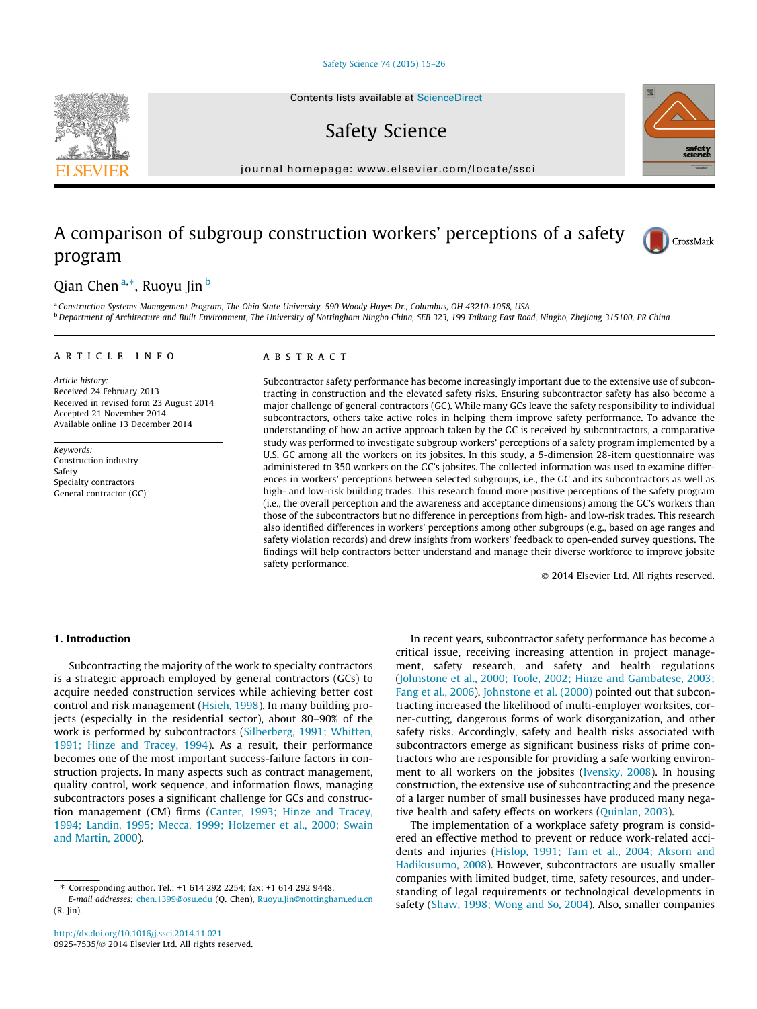#### [Safety Science 74 \(2015\) 15–26](http://dx.doi.org/10.1016/j.ssci.2014.11.021)

Contents lists available at [ScienceDirect](http://www.sciencedirect.com/science/journal/09257535)

Safety Science

journal homepage: [www.elsevier.com/locate/ssci](http://www.elsevier.com/locate/ssci)

## A comparison of subgroup construction workers' perceptions of a safety program



## Qian Chen <sup>a,</sup>\*, Ruoyu Jin <sup>b</sup>

<sup>a</sup> Construction Systems Management Program, The Ohio State University, 590 Woody Hayes Dr., Columbus, OH 43210-1058, USA <sup>b</sup> Department of Architecture and Built Environment, The University of Nottingham Ningbo China, SEB 323, 199 Taikang East Road, Ningbo, Zhejiang 315100, PR China

#### article info

Article history: Received 24 February 2013 Received in revised form 23 August 2014 Accepted 21 November 2014 Available online 13 December 2014

Keywords: Construction industry Safety Specialty contractors General contractor (GC)

#### A B S T R A C T

Subcontractor safety performance has become increasingly important due to the extensive use of subcontracting in construction and the elevated safety risks. Ensuring subcontractor safety has also become a major challenge of general contractors (GC). While many GCs leave the safety responsibility to individual subcontractors, others take active roles in helping them improve safety performance. To advance the understanding of how an active approach taken by the GC is received by subcontractors, a comparative study was performed to investigate subgroup workers' perceptions of a safety program implemented by a U.S. GC among all the workers on its jobsites. In this study, a 5-dimension 28-item questionnaire was administered to 350 workers on the GC's jobsites. The collected information was used to examine differences in workers' perceptions between selected subgroups, i.e., the GC and its subcontractors as well as high- and low-risk building trades. This research found more positive perceptions of the safety program (i.e., the overall perception and the awareness and acceptance dimensions) among the GC's workers than those of the subcontractors but no difference in perceptions from high- and low-risk trades. This research also identified differences in workers' perceptions among other subgroups (e.g., based on age ranges and safety violation records) and drew insights from workers' feedback to open-ended survey questions. The findings will help contractors better understand and manage their diverse workforce to improve jobsite safety performance.

- 2014 Elsevier Ltd. All rights reserved.

## 1. Introduction

Subcontracting the majority of the work to specialty contractors is a strategic approach employed by general contractors (GCs) to acquire needed construction services while achieving better cost control and risk management ([Hsieh, 1998\)](#page-11-0). In many building projects (especially in the residential sector), about 80–90% of the work is performed by subcontractors [\(Silberberg, 1991; Whitten,](#page-11-0) [1991; Hinze and Tracey, 1994\)](#page-11-0). As a result, their performance becomes one of the most important success-failure factors in construction projects. In many aspects such as contract management, quality control, work sequence, and information flows, managing subcontractors poses a significant challenge for GCs and construction management (CM) firms [\(Canter, 1993; Hinze and Tracey,](#page-11-0) [1994; Landin, 1995; Mecca, 1999; Holzemer et al., 2000; Swain](#page-11-0) [and Martin, 2000](#page-11-0)).

In recent years, subcontractor safety performance has become a critical issue, receiving increasing attention in project management, safety research, and safety and health regulations ([Johnstone et al., 2000; Toole, 2002; Hinze and Gambatese, 2003;](#page-11-0) [Fang et al., 2006](#page-11-0)). [Johnstone et al. \(2000\)](#page-11-0) pointed out that subcontracting increased the likelihood of multi-employer worksites, corner-cutting, dangerous forms of work disorganization, and other safety risks. Accordingly, safety and health risks associated with subcontractors emerge as significant business risks of prime contractors who are responsible for providing a safe working environment to all workers on the jobsites [\(Ivensky, 2008\)](#page-11-0). In housing construction, the extensive use of subcontracting and the presence of a larger number of small businesses have produced many negative health and safety effects on workers ([Quinlan, 2003\)](#page-11-0).

The implementation of a workplace safety program is considered an effective method to prevent or reduce work-related accidents and injuries ([Hislop, 1991; Tam et al., 2004; Aksorn and](#page-11-0) [Hadikusumo, 2008](#page-11-0)). However, subcontractors are usually smaller companies with limited budget, time, safety resources, and understanding of legal requirements or technological developments in safety ([Shaw, 1998; Wong and So, 2004](#page-11-0)). Also, smaller companies



<sup>⇑</sup> Corresponding author. Tel.: +1 614 292 2254; fax: +1 614 292 9448.

E-mail addresses: [chen.1399@osu.edu](mailto:chen.1399@osu.edu) (Q. Chen), [Ruoyu.Jin@nottingham.edu.cn](mailto:Ruoyu.Jin@nottingham.edu.cn) (R. Jin).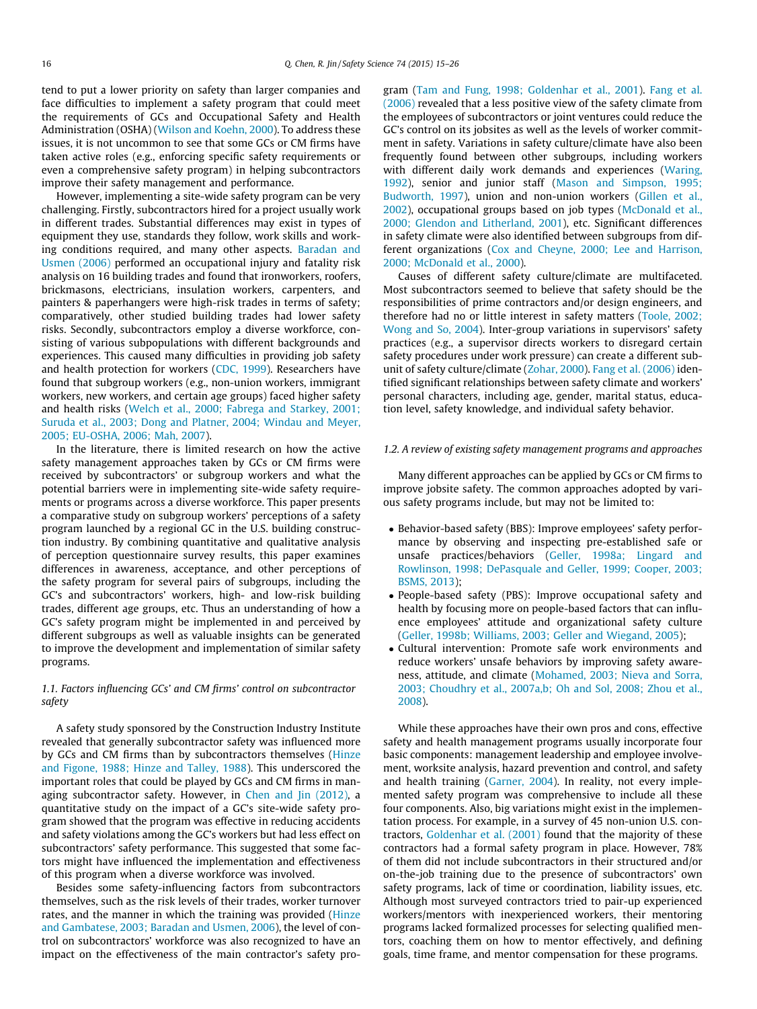<span id="page-2-0"></span>tend to put a lower priority on safety than larger companies and face difficulties to implement a safety program that could meet the requirements of GCs and Occupational Safety and Health Administration (OSHA) [\(Wilson and Koehn, 2000](#page-12-0)). To address these issues, it is not uncommon to see that some GCs or CM firms have taken active roles (e.g., enforcing specific safety requirements or even a comprehensive safety program) in helping subcontractors improve their safety management and performance.

However, implementing a site-wide safety program can be very challenging. Firstly, subcontractors hired for a project usually work in different trades. Substantial differences may exist in types of equipment they use, standards they follow, work skills and working conditions required, and many other aspects. [Baradan and](#page-11-0) [Usmen \(2006\)](#page-11-0) performed an occupational injury and fatality risk analysis on 16 building trades and found that ironworkers, roofers, brickmasons, electricians, insulation workers, carpenters, and painters & paperhangers were high-risk trades in terms of safety; comparatively, other studied building trades had lower safety risks. Secondly, subcontractors employ a diverse workforce, consisting of various subpopulations with different backgrounds and experiences. This caused many difficulties in providing job safety and health protection for workers ([CDC, 1999\)](#page-11-0). Researchers have found that subgroup workers (e.g., non-union workers, immigrant workers, new workers, and certain age groups) faced higher safety and health risks [\(Welch et al., 2000; Fabrega and Starkey, 2001;](#page-12-0) [Suruda et al., 2003; Dong and Platner, 2004; Windau and Meyer,](#page-12-0) [2005; EU-OSHA, 2006; Mah, 2007\)](#page-12-0).

In the literature, there is limited research on how the active safety management approaches taken by GCs or CM firms were received by subcontractors' or subgroup workers and what the potential barriers were in implementing site-wide safety requirements or programs across a diverse workforce. This paper presents a comparative study on subgroup workers' perceptions of a safety program launched by a regional GC in the U.S. building construction industry. By combining quantitative and qualitative analysis of perception questionnaire survey results, this paper examines differences in awareness, acceptance, and other perceptions of the safety program for several pairs of subgroups, including the GC's and subcontractors' workers, high- and low-risk building trades, different age groups, etc. Thus an understanding of how a GC's safety program might be implemented in and perceived by different subgroups as well as valuable insights can be generated to improve the development and implementation of similar safety programs.

## 1.1. Factors influencing GCs' and CM firms' control on subcontractor safety

A safety study sponsored by the Construction Industry Institute revealed that generally subcontractor safety was influenced more by GCs and CM firms than by subcontractors themselves ([Hinze](#page-11-0) [and Figone, 1988; Hinze and Talley, 1988](#page-11-0)). This underscored the important roles that could be played by GCs and CM firms in managing subcontractor safety. However, in [Chen and Jin \(2012\),](#page-11-0) a quantitative study on the impact of a GC's site-wide safety program showed that the program was effective in reducing accidents and safety violations among the GC's workers but had less effect on subcontractors' safety performance. This suggested that some factors might have influenced the implementation and effectiveness of this program when a diverse workforce was involved.

Besides some safety-influencing factors from subcontractors themselves, such as the risk levels of their trades, worker turnover rates, and the manner in which the training was provided ([Hinze](#page-11-0) [and Gambatese, 2003; Baradan and Usmen, 2006\)](#page-11-0), the level of control on subcontractors' workforce was also recognized to have an impact on the effectiveness of the main contractor's safety program [\(Tam and Fung, 1998; Goldenhar et al., 2001\)](#page-12-0). [Fang et al.](#page-11-0) [\(2006\)](#page-11-0) revealed that a less positive view of the safety climate from the employees of subcontractors or joint ventures could reduce the GC's control on its jobsites as well as the levels of worker commitment in safety. Variations in safety culture/climate have also been frequently found between other subgroups, including workers with different daily work demands and experiences ([Waring,](#page-12-0) [1992\)](#page-12-0), senior and junior staff ([Mason and Simpson, 1995;](#page-11-0) [Budworth, 1997\)](#page-11-0), union and non-union workers ([Gillen et al.,](#page-11-0) [2002\)](#page-11-0), occupational groups based on job types ([McDonald et al.,](#page-11-0) [2000; Glendon and Litherland, 2001\)](#page-11-0), etc. Significant differences in safety climate were also identified between subgroups from different organizations ([Cox and Cheyne, 2000; Lee and Harrison,](#page-11-0) [2000; McDonald et al., 2000](#page-11-0)).

Causes of different safety culture/climate are multifaceted. Most subcontractors seemed to believe that safety should be the responsibilities of prime contractors and/or design engineers, and therefore had no or little interest in safety matters [\(Toole, 2002;](#page-12-0) [Wong and So, 2004\)](#page-12-0). Inter-group variations in supervisors' safety practices (e.g., a supervisor directs workers to disregard certain safety procedures under work pressure) can create a different subunit of safety culture/climate [\(Zohar, 2000\)](#page-12-0). [Fang et al. \(2006\)](#page-11-0) identified significant relationships between safety climate and workers' personal characters, including age, gender, marital status, education level, safety knowledge, and individual safety behavior.

#### 1.2. A review of existing safety management programs and approaches

Many different approaches can be applied by GCs or CM firms to improve jobsite safety. The common approaches adopted by various safety programs include, but may not be limited to:

- Behavior-based safety (BBS): Improve employees' safety performance by observing and inspecting pre-established safe or unsafe practices/behaviors ([Geller, 1998a; Lingard and](#page-11-0) [Rowlinson, 1998; DePasquale and Geller, 1999; Cooper, 2003;](#page-11-0) [BSMS, 2013\)](#page-11-0);
- People-based safety (PBS): Improve occupational safety and health by focusing more on people-based factors that can influence employees' attitude and organizational safety culture [\(Geller, 1998b; Williams, 2003; Geller and Wiegand, 2005\)](#page-11-0);
- Cultural intervention: Promote safe work environments and reduce workers' unsafe behaviors by improving safety awareness, attitude, and climate [\(Mohamed, 2003; Nieva and Sorra,](#page-11-0) [2003; Choudhry et al., 2007a,b; Oh and Sol, 2008; Zhou et al.,](#page-11-0) [2008](#page-11-0)).

While these approaches have their own pros and cons, effective safety and health management programs usually incorporate four basic components: management leadership and employee involvement, worksite analysis, hazard prevention and control, and safety and health training ([Garner, 2004](#page-11-0)). In reality, not every implemented safety program was comprehensive to include all these four components. Also, big variations might exist in the implementation process. For example, in a survey of 45 non-union U.S. contractors, [Goldenhar et al. \(2001\)](#page-11-0) found that the majority of these contractors had a formal safety program in place. However, 78% of them did not include subcontractors in their structured and/or on-the-job training due to the presence of subcontractors' own safety programs, lack of time or coordination, liability issues, etc. Although most surveyed contractors tried to pair-up experienced workers/mentors with inexperienced workers, their mentoring programs lacked formalized processes for selecting qualified mentors, coaching them on how to mentor effectively, and defining goals, time frame, and mentor compensation for these programs.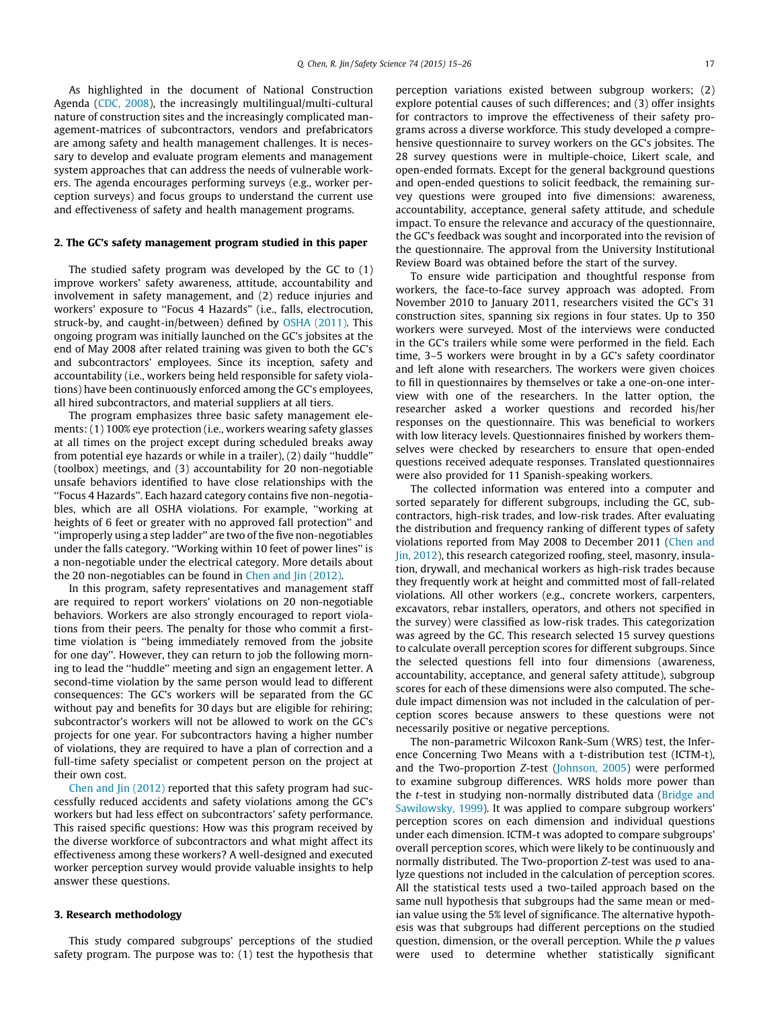As highlighted in the document of National Construction Agenda [\(CDC, 2008](#page-11-0)), the increasingly multilingual/multi-cultural nature of construction sites and the increasingly complicated management-matrices of subcontractors, vendors and prefabricators are among safety and health management challenges. It is necessary to develop and evaluate program elements and management system approaches that can address the needs of vulnerable workers. The agenda encourages performing surveys (e.g., worker perception surveys) and focus groups to understand the current use and effectiveness of safety and health management programs.

## 2. The GC's safety management program studied in this paper

The studied safety program was developed by the GC to (1) improve workers' safety awareness, attitude, accountability and involvement in safety management, and (2) reduce injuries and workers' exposure to ''Focus 4 Hazards'' (i.e., falls, electrocution, struck-by, and caught-in/between) defined by [OSHA \(2011\).](#page-11-0) This ongoing program was initially launched on the GC's jobsites at the end of May 2008 after related training was given to both the GC's and subcontractors' employees. Since its inception, safety and accountability (i.e., workers being held responsible for safety violations) have been continuously enforced among the GC's employees, all hired subcontractors, and material suppliers at all tiers.

The program emphasizes three basic safety management elements: (1) 100% eye protection (i.e., workers wearing safety glasses at all times on the project except during scheduled breaks away from potential eye hazards or while in a trailer), (2) daily ''huddle'' (toolbox) meetings, and (3) accountability for 20 non-negotiable unsafe behaviors identified to have close relationships with the ''Focus 4 Hazards''. Each hazard category contains five non-negotiables, which are all OSHA violations. For example, ''working at heights of 6 feet or greater with no approved fall protection'' and ''improperly using a step ladder'' are two of the five non-negotiables under the falls category. ''Working within 10 feet of power lines'' is a non-negotiable under the electrical category. More details about the 20 non-negotiables can be found in [Chen and Jin \(2012\).](#page-11-0)

In this program, safety representatives and management staff are required to report workers' violations on 20 non-negotiable behaviors. Workers are also strongly encouraged to report violations from their peers. The penalty for those who commit a firsttime violation is ''being immediately removed from the jobsite for one day''. However, they can return to job the following morning to lead the ''huddle'' meeting and sign an engagement letter. A second-time violation by the same person would lead to different consequences: The GC's workers will be separated from the GC without pay and benefits for 30 days but are eligible for rehiring; subcontractor's workers will not be allowed to work on the GC's projects for one year. For subcontractors having a higher number of violations, they are required to have a plan of correction and a full-time safety specialist or competent person on the project at their own cost.

[Chen and Jin \(2012\)](#page-11-0) reported that this safety program had successfully reduced accidents and safety violations among the GC's workers but had less effect on subcontractors' safety performance. This raised specific questions: How was this program received by the diverse workforce of subcontractors and what might affect its effectiveness among these workers? A well-designed and executed worker perception survey would provide valuable insights to help answer these questions.

## 3. Research methodology

This study compared subgroups' perceptions of the studied safety program. The purpose was to: (1) test the hypothesis that perception variations existed between subgroup workers; (2) explore potential causes of such differences; and (3) offer insights for contractors to improve the effectiveness of their safety programs across a diverse workforce. This study developed a comprehensive questionnaire to survey workers on the GC's jobsites. The 28 survey questions were in multiple-choice, Likert scale, and open-ended formats. Except for the general background questions and open-ended questions to solicit feedback, the remaining survey questions were grouped into five dimensions: awareness, accountability, acceptance, general safety attitude, and schedule impact. To ensure the relevance and accuracy of the questionnaire, the GC's feedback was sought and incorporated into the revision of the questionnaire. The approval from the University Institutional Review Board was obtained before the start of the survey.

To ensure wide participation and thoughtful response from workers, the face-to-face survey approach was adopted. From November 2010 to January 2011, researchers visited the GC's 31 construction sites, spanning six regions in four states. Up to 350 workers were surveyed. Most of the interviews were conducted in the GC's trailers while some were performed in the field. Each time, 3–5 workers were brought in by a GC's safety coordinator and left alone with researchers. The workers were given choices to fill in questionnaires by themselves or take a one-on-one interview with one of the researchers. In the latter option, the researcher asked a worker questions and recorded his/her responses on the questionnaire. This was beneficial to workers with low literacy levels. Questionnaires finished by workers themselves were checked by researchers to ensure that open-ended questions received adequate responses. Translated questionnaires were also provided for 11 Spanish-speaking workers.

The collected information was entered into a computer and sorted separately for different subgroups, including the GC, subcontractors, high-risk trades, and low-risk trades. After evaluating the distribution and frequency ranking of different types of safety violations reported from May 2008 to December 2011 [\(Chen and](#page-11-0) [Jin, 2012](#page-11-0)), this research categorized roofing, steel, masonry, insulation, drywall, and mechanical workers as high-risk trades because they frequently work at height and committed most of fall-related violations. All other workers (e.g., concrete workers, carpenters, excavators, rebar installers, operators, and others not specified in the survey) were classified as low-risk trades. This categorization was agreed by the GC. This research selected 15 survey questions to calculate overall perception scores for different subgroups. Since the selected questions fell into four dimensions (awareness, accountability, acceptance, and general safety attitude), subgroup scores for each of these dimensions were also computed. The schedule impact dimension was not included in the calculation of perception scores because answers to these questions were not necessarily positive or negative perceptions.

The non-parametric Wilcoxon Rank-Sum (WRS) test, the Inference Concerning Two Means with a t-distribution test (ICTM-t), and the Two-proportion Z-test [\(Johnson, 2005](#page-11-0)) were performed to examine subgroup differences. WRS holds more power than the *t*-test in studying non-normally distributed data ([Bridge and](#page-11-0) [Sawilowsky, 1999](#page-11-0)). It was applied to compare subgroup workers' perception scores on each dimension and individual questions under each dimension. ICTM-t was adopted to compare subgroups' overall perception scores, which were likely to be continuously and normally distributed. The Two-proportion Z-test was used to analyze questions not included in the calculation of perception scores. All the statistical tests used a two-tailed approach based on the same null hypothesis that subgroups had the same mean or median value using the 5% level of significance. The alternative hypothesis was that subgroups had different perceptions on the studied question, dimension, or the overall perception. While the p values were used to determine whether statistically significant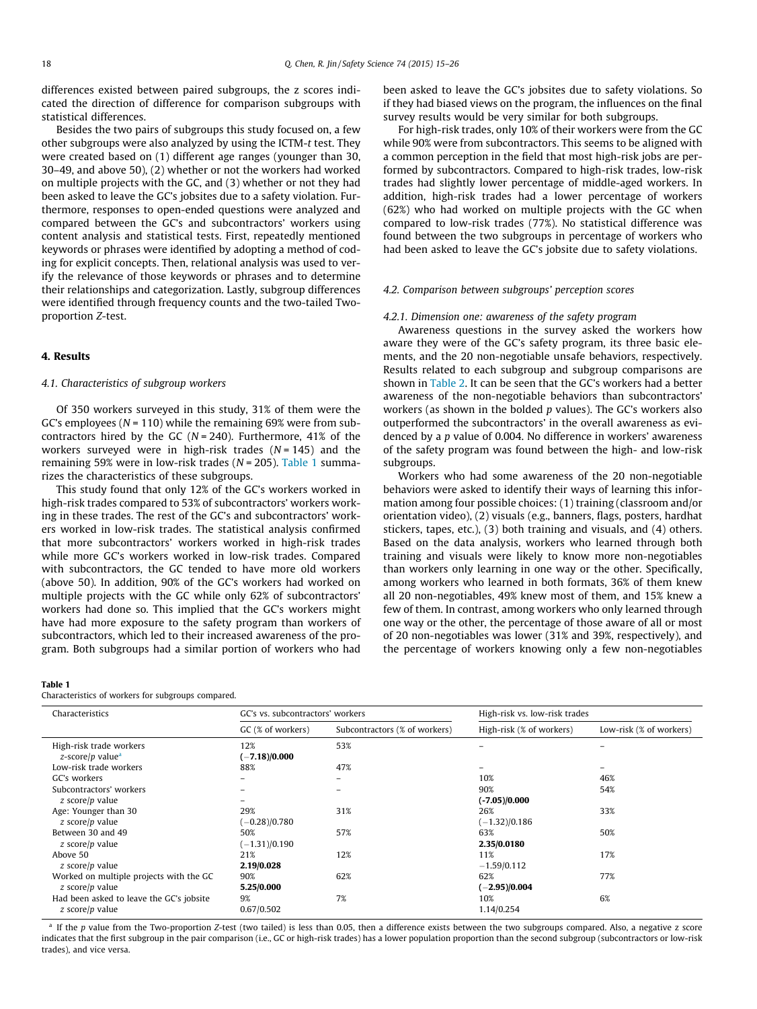differences existed between paired subgroups, the z scores indicated the direction of difference for comparison subgroups with statistical differences.

Besides the two pairs of subgroups this study focused on, a few other subgroups were also analyzed by using the ICTM-t test. They were created based on (1) different age ranges (younger than 30, 30–49, and above 50), (2) whether or not the workers had worked on multiple projects with the GC, and (3) whether or not they had been asked to leave the GC's jobsites due to a safety violation. Furthermore, responses to open-ended questions were analyzed and compared between the GC's and subcontractors' workers using content analysis and statistical tests. First, repeatedly mentioned keywords or phrases were identified by adopting a method of coding for explicit concepts. Then, relational analysis was used to verify the relevance of those keywords or phrases and to determine their relationships and categorization. Lastly, subgroup differences were identified through frequency counts and the two-tailed Twoproportion Z-test.

## 4. Results

## 4.1. Characteristics of subgroup workers

Of 350 workers surveyed in this study, 31% of them were the GC's employees ( $N = 110$ ) while the remaining 69% were from subcontractors hired by the GC ( $N = 240$ ). Furthermore, 41% of the workers surveyed were in high-risk trades  $(N = 145)$  and the remaining 59% were in low-risk trades ( $N = 205$ ). Table 1 summarizes the characteristics of these subgroups.

This study found that only 12% of the GC's workers worked in high-risk trades compared to 53% of subcontractors' workers working in these trades. The rest of the GC's and subcontractors' workers worked in low-risk trades. The statistical analysis confirmed that more subcontractors' workers worked in high-risk trades while more GC's workers worked in low-risk trades. Compared with subcontractors, the GC tended to have more old workers (above 50). In addition, 90% of the GC's workers had worked on multiple projects with the GC while only 62% of subcontractors' workers had done so. This implied that the GC's workers might have had more exposure to the safety program than workers of subcontractors, which led to their increased awareness of the program. Both subgroups had a similar portion of workers who had

#### Table 1

Characteristics of workers for subgroups compared.

been asked to leave the GC's jobsites due to safety violations. So if they had biased views on the program, the influences on the final survey results would be very similar for both subgroups.

For high-risk trades, only 10% of their workers were from the GC while 90% were from subcontractors. This seems to be aligned with a common perception in the field that most high-risk jobs are performed by subcontractors. Compared to high-risk trades, low-risk trades had slightly lower percentage of middle-aged workers. In addition, high-risk trades had a lower percentage of workers (62%) who had worked on multiple projects with the GC when compared to low-risk trades (77%). No statistical difference was found between the two subgroups in percentage of workers who had been asked to leave the GC's jobsite due to safety violations.

#### 4.2. Comparison between subgroups' perception scores

#### 4.2.1. Dimension one: awareness of the safety program

Awareness questions in the survey asked the workers how aware they were of the GC's safety program, its three basic elements, and the 20 non-negotiable unsafe behaviors, respectively. Results related to each subgroup and subgroup comparisons are shown in [Table 2](#page-5-0). It can be seen that the GC's workers had a better awareness of the non-negotiable behaviors than subcontractors' workers (as shown in the bolded  $p$  values). The GC's workers also outperformed the subcontractors' in the overall awareness as evidenced by a p value of 0.004. No difference in workers' awareness of the safety program was found between the high- and low-risk subgroups.

Workers who had some awareness of the 20 non-negotiable behaviors were asked to identify their ways of learning this information among four possible choices: (1) training (classroom and/or orientation video), (2) visuals (e.g., banners, flags, posters, hardhat stickers, tapes, etc.), (3) both training and visuals, and (4) others. Based on the data analysis, workers who learned through both training and visuals were likely to know more non-negotiables than workers only learning in one way or the other. Specifically, among workers who learned in both formats, 36% of them knew all 20 non-negotiables, 49% knew most of them, and 15% knew a few of them. In contrast, among workers who only learned through one way or the other, the percentage of those aware of all or most of 20 non-negotiables was lower (31% and 39%, respectively), and the percentage of workers knowing only a few non-negotiables

| Characteristics                                             | GC's vs. subcontractors' workers |                               | High-risk vs. low-risk trades |                          |  |
|-------------------------------------------------------------|----------------------------------|-------------------------------|-------------------------------|--------------------------|--|
|                                                             | GC (% of workers)                | Subcontractors (% of workers) | High-risk (% of workers)      | Low-risk (% of workers)  |  |
| High-risk trade workers<br>z-score/p value <sup>a</sup>     | 12%<br>$(-7.18)/0.000$           | 53%                           |                               |                          |  |
| Low-risk trade workers                                      | 88%                              | 47%                           |                               | $\overline{\phantom{a}}$ |  |
| GC's workers                                                |                                  | $\overline{\phantom{0}}$      | 10%                           | 46%                      |  |
| Subcontractors' workers<br>z score/p value                  |                                  | $\overline{\phantom{0}}$      | 90%<br>$(-7.05)/0.000$        | 54%                      |  |
| Age: Younger than 30<br>z score/p value                     | 29%<br>$(-0.28)/0.780$           | 31%                           | 26%<br>$(-1.32)/0.186$        | 33%                      |  |
| Between 30 and 49<br>z score/p value                        | 50%<br>$(-1.31)/0.190$           | 57%                           | 63%<br>2.35/0.0180            | 50%                      |  |
| Above 50<br>z score/p value                                 | 21%<br>2.19/0.028                | 12%                           | 11%<br>$-1.59/0.112$          | 17%                      |  |
| Worked on multiple projects with the GC<br>z score/p value  | 90%<br>5.25/0.000                | 62%                           | 62%<br>$(-2.95)/0.004$        | 77%                      |  |
| Had been asked to leave the GC's jobsite<br>z score/p value | 9%<br>0.67/0.502                 | 7%                            | 10%<br>1.14/0.254             | 6%                       |  |

<sup>a</sup> If the p value from the Two-proportion Z-test (two tailed) is less than 0.05, then a difference exists between the two subgroups compared. Also, a negative z score indicates that the first subgroup in the pair comparison (i.e., GC or high-risk trades) has a lower population proportion than the second subgroup (subcontractors or low-risk trades), and vice versa.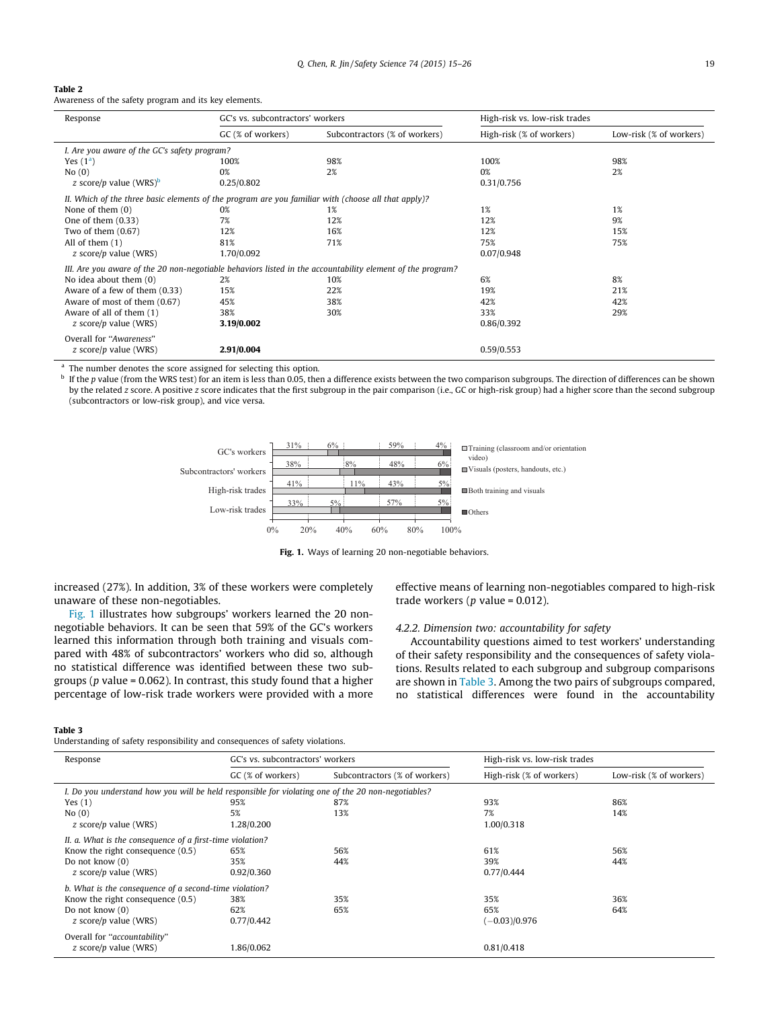#### <span id="page-5-0"></span>Table 2

Awareness of the safety program and its key elements.

| Response                                                                                                   | GC's vs. subcontractors' workers |                               | High-risk vs. low-risk trades |                         |  |
|------------------------------------------------------------------------------------------------------------|----------------------------------|-------------------------------|-------------------------------|-------------------------|--|
|                                                                                                            | GC (% of workers)                | Subcontractors (% of workers) | High-risk (% of workers)      | Low-risk (% of workers) |  |
| I. Are you aware of the GC's safety program?                                                               |                                  |                               |                               |                         |  |
| Yes $(1a)$                                                                                                 | 100%                             | 98%                           | 100%                          | 98%                     |  |
| No(0)                                                                                                      | 0%                               | 2%                            | 0%                            | 2%                      |  |
| z score/p value (WRS) <sup>b</sup>                                                                         | 0.25/0.802                       |                               | 0.31/0.756                    |                         |  |
| II. Which of the three basic elements of the program are you familiar with (choose all that apply)?        |                                  |                               |                               |                         |  |
| None of them $(0)$                                                                                         | 0%                               | 1%                            | 1%                            | 1%                      |  |
| One of them $(0.33)$                                                                                       | 7%                               | 12%                           | 12%                           | 9%                      |  |
| Two of them $(0.67)$                                                                                       | 12%                              | 16%                           | 12%                           | 15%                     |  |
| All of them $(1)$                                                                                          | 81%                              | 71%                           | 75%                           | 75%                     |  |
| z score/p value (WRS)                                                                                      | 1.70/0.092                       |                               | 0.07/0.948                    |                         |  |
| III. Are you aware of the 20 non-negotiable behaviors listed in the accountability element of the program? |                                  |                               |                               |                         |  |
| No idea about them $(0)$                                                                                   | 2%                               | 10%                           | 6%                            | 8%                      |  |
| Aware of a few of them (0.33)                                                                              | 15%                              | 22%                           | 19%                           | 21%                     |  |
| Aware of most of them (0.67)                                                                               | 45%                              | 38%                           | 42%                           | 42%                     |  |
| Aware of all of them (1)                                                                                   | 38%                              | 30%                           | 33%                           | 29%                     |  |
| $z$ score/p value (WRS)                                                                                    | 3.19/0.002                       |                               | 0.86/0.392                    |                         |  |
| Overall for "Awareness"                                                                                    |                                  |                               |                               |                         |  |
| z score/p value (WRS)                                                                                      | 2.91/0.004                       |                               | 0.59/0.553                    |                         |  |
|                                                                                                            |                                  |                               |                               |                         |  |

<sup>a</sup> The number denotes the score assigned for selecting this option.<br><sup>b</sup> If the n value (from the WPS test) for an item is less than 0.05, then

<sup>b</sup> If the p value (from the WRS test) for an item is less than 0.05, then a difference exists between the two comparison subgroups. The direction of differences can be shown by the related z score. A positive z score indicates that the first subgroup in the pair comparison (i.e., GC or high-risk group) had a higher score than the second subgroup (subcontractors or low-risk group), and vice versa.



Fig. 1. Ways of learning 20 non-negotiable behaviors.

increased (27%). In addition, 3% of these workers were completely unaware of these non-negotiables.

Fig. 1 illustrates how subgroups' workers learned the 20 nonnegotiable behaviors. It can be seen that 59% of the GC's workers learned this information through both training and visuals compared with 48% of subcontractors' workers who did so, although no statistical difference was identified between these two subgroups ( $p$  value = 0.062). In contrast, this study found that a higher percentage of low-risk trade workers were provided with a more

## effective means of learning non-negotiables compared to high-risk trade workers ( $p$  value = 0.012).

## 4.2.2. Dimension two: accountability for safety

Accountability questions aimed to test workers' understanding of their safety responsibility and the consequences of safety violations. Results related to each subgroup and subgroup comparisons are shown in Table 3. Among the two pairs of subgroups compared, no statistical differences were found in the accountability

#### Table 3

Understanding of safety responsibility and consequences of safety violations.

| Response                                                                                           | GC's vs. subcontractors' workers |     | High-risk vs. low-risk trades |                         |  |
|----------------------------------------------------------------------------------------------------|----------------------------------|-----|-------------------------------|-------------------------|--|
| Subcontractors (% of workers)<br>GC (% of workers)                                                 |                                  |     | High-risk (% of workers)      | Low-risk (% of workers) |  |
| I. Do you understand how you will be held responsible for violating one of the 20 non-negotiables? |                                  |     |                               |                         |  |
| Yes $(1)$                                                                                          | 95%                              | 87% | 93%                           | 86%                     |  |
| No(0)                                                                                              | 5%                               | 13% | 7%                            | 14%                     |  |
| z score/p value (WRS)                                                                              | 1.28/0.200                       |     | 1.00/0.318                    |                         |  |
| II. a. What is the consequence of a first-time violation?                                          |                                  |     |                               |                         |  |
| Know the right consequence $(0.5)$                                                                 | 65%                              | 56% | 61%                           | 56%                     |  |
| Do not know $(0)$                                                                                  | 35%                              | 44% | 39%                           | 44%                     |  |
| z score/p value (WRS)                                                                              | 0.92/0.360                       |     | 0.77/0.444                    |                         |  |
| b. What is the consequence of a second-time violation?                                             |                                  |     |                               |                         |  |
| Know the right consequence $(0.5)$                                                                 | 38%                              | 35% | 35%                           | 36%                     |  |
| Do not know $(0)$                                                                                  | 62%                              | 65% | 65%                           | 64%                     |  |
| z score/p value (WRS)                                                                              | 0.77/0.442                       |     | $(-0.03)/0.976$               |                         |  |
| Overall for "accountability"                                                                       |                                  |     |                               |                         |  |
| $z$ score/p value (WRS)                                                                            | 1.86/0.062                       |     | 0.81/0.418                    |                         |  |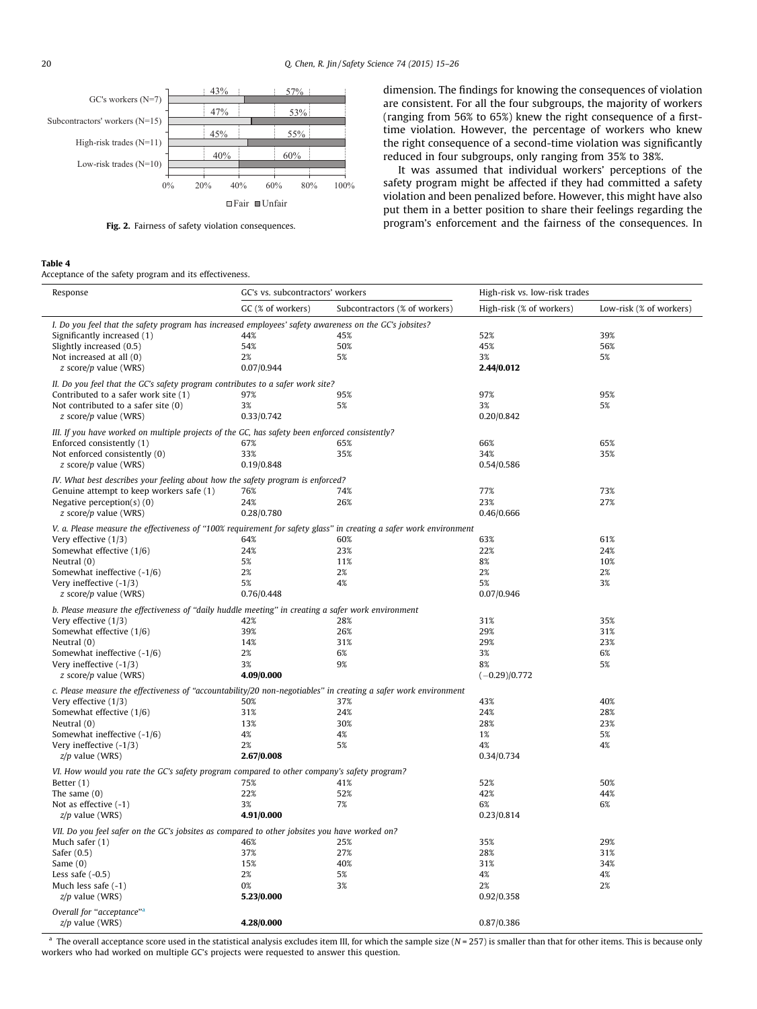<span id="page-6-0"></span>

Fig. 2. Fairness of safety violation consequences.

## Table 4

Acceptance of the safety program and its effectiveness.

dimension. The findings for knowing the consequences of violation are consistent. For all the four subgroups, the majority of workers (ranging from 56% to 65%) knew the right consequence of a firsttime violation. However, the percentage of workers who knew the right consequence of a second-time violation was significantly reduced in four subgroups, only ranging from 35% to 38%.

It was assumed that individual workers' perceptions of the safety program might be affected if they had committed a safety violation and been penalized before. However, this might have also put them in a better position to share their feelings regarding the program's enforcement and the fairness of the consequences. In

| GC (% of workers)<br>Low-risk (% of workers)<br>Subcontractors (% of workers)<br>High-risk (% of workers)<br>I. Do you feel that the safety program has increased employees' safety awareness on the GC's jobsites?<br>44%<br>52%<br>39%<br>Significantly increased (1)<br>45%<br>Slightly increased (0.5)<br>54%<br>50%<br>45%<br>56%<br>Not increased at all (0)<br>2%<br>5%<br>3%<br>5%<br>0.07/0.944<br>2.44/0.012<br>z score/p value (WRS)<br>II. Do you feel that the GC's safety program contributes to a safer work site?<br>97%<br>Contributed to a safer work site (1)<br>97%<br>95%<br>95%<br>5%<br>3%<br>5%<br>Not contributed to a safer site (0)<br>3%<br>$z$ score/p value (WRS)<br>0.33/0.742<br>0.20/0.842<br>III. If you have worked on multiple projects of the GC, has safety been enforced consistently?<br>Enforced consistently (1)<br>66%<br>65%<br>67%<br>65%<br>Not enforced consistently (0)<br>33%<br>35%<br>34%<br>35%<br>0.19/0.848<br>$z$ score/p value (WRS)<br>0.54/0.586<br>IV. What best describes your feeling about how the safety program is enforced?<br>Genuine attempt to keep workers safe (1)<br>76%<br>74%<br>77%<br>73%<br>24%<br>26%<br>23%<br>27%<br>Negative perception( $s$ ) (0)<br>0.28/0.780<br>0.46/0.666<br>$z$ score/p value (WRS)<br>V. a. Please measure the effectiveness of "100% requirement for safety glass" in creating a safer work environment<br>Very effective (1/3)<br>64%<br>60%<br>63%<br>61%<br>Somewhat effective (1/6)<br>22%<br>24%<br>24%<br>23%<br>8%<br>Neutral (0)<br>5%<br>11%<br>10%<br>2%<br>2%<br>Somewhat ineffective (-1/6)<br>2%<br>2%<br>Very ineffective $(-1/3)$<br>5%<br>3%<br>4%<br>5%<br>0.76/0.448<br>0.07/0.946<br>$z$ score/p value (WRS)<br>b. Please measure the effectiveness of "daily huddle meeting" in creating a safer work environment<br>Very effective (1/3)<br>42%<br>28%<br>31%<br>35%<br>29%<br>31%<br>Somewhat effective (1/6)<br>39%<br>26%<br>31%<br>29%<br>23%<br>Neutral $(0)$<br>14%<br>6%<br>3%<br>6%<br>Somewhat ineffective (-1/6)<br>2%<br>9%<br>5%<br>Very ineffective $(-1/3)$<br>3%<br>8%<br>$z$ score/p value (WRS)<br>4.09/0.000<br>$(-0.29)/0.772$<br>c. Please measure the effectiveness of "accountability/20 non-negotiables" in creating a safer work environment<br>43%<br>40%<br>Very effective (1/3)<br>50%<br>37%<br>24%<br>24%<br>28%<br>Somewhat effective (1/6)<br>31%<br>Neutral $(0)$<br>13%<br>30%<br>28%<br>23%<br>Somewhat ineffective (-1/6)<br>4%<br>4%<br>1%<br>5%<br>5%<br>4%<br>4%<br>Very ineffective $(-1/3)$<br>2%<br>2.67/0.008<br>0.34/0.734<br>$z/p$ value (WRS)<br>VI. How would you rate the GC's safety program compared to other company's safety program?<br>Better (1)<br>75%<br>41%<br>52%<br>50%<br>The same $(0)$<br>22%<br>52%<br>42%<br>44%<br>7%<br>Not as effective $(-1)$<br>3%<br>6%<br>6%<br>4.91/0.000<br>0.23/0.814<br>$z/p$ value (WRS)<br>VII. Do you feel safer on the GC's jobsites as compared to other jobsites you have worked on?<br>25%<br>35%<br>29%<br>Much safer $(1)$<br>46%<br>37%<br>27%<br>28%<br>31%<br>Safer (0.5)<br>15%<br>40%<br>31%<br>34%<br>Same $(0)$<br>Less safe $(-0.5)$<br>2%<br>5%<br>4%<br>4%<br>0%<br>3%<br>2%<br>2%<br>Much less safe $(-1)$<br>$z/p$ value (WRS)<br>5.23/0.000<br>0.92/0.358<br>Overall for "acceptance" <sup>a</sup><br>$z/p$ value (WRS)<br>4.28/0.000<br>0.87/0.386 | Response | GC's vs. subcontractors' workers |  | High-risk vs. low-risk trades |  |  |
|---------------------------------------------------------------------------------------------------------------------------------------------------------------------------------------------------------------------------------------------------------------------------------------------------------------------------------------------------------------------------------------------------------------------------------------------------------------------------------------------------------------------------------------------------------------------------------------------------------------------------------------------------------------------------------------------------------------------------------------------------------------------------------------------------------------------------------------------------------------------------------------------------------------------------------------------------------------------------------------------------------------------------------------------------------------------------------------------------------------------------------------------------------------------------------------------------------------------------------------------------------------------------------------------------------------------------------------------------------------------------------------------------------------------------------------------------------------------------------------------------------------------------------------------------------------------------------------------------------------------------------------------------------------------------------------------------------------------------------------------------------------------------------------------------------------------------------------------------------------------------------------------------------------------------------------------------------------------------------------------------------------------------------------------------------------------------------------------------------------------------------------------------------------------------------------------------------------------------------------------------------------------------------------------------------------------------------------------------------------------------------------------------------------------------------------------------------------------------------------------------------------------------------------------------------------------------------------------------------------------------------------------------------------------------------------------------------------------------------------------------------------------------------------------------------------------------------------------------------------------------------------------------------------------------------------------------------------------------------------------------------------------------------------------------------------------------------------------------------------------------------------------------------------------------------------------------------------------------------------------------------------------------------------------------------------------------------------------------------------------------------------------------|----------|----------------------------------|--|-------------------------------|--|--|
|                                                                                                                                                                                                                                                                                                                                                                                                                                                                                                                                                                                                                                                                                                                                                                                                                                                                                                                                                                                                                                                                                                                                                                                                                                                                                                                                                                                                                                                                                                                                                                                                                                                                                                                                                                                                                                                                                                                                                                                                                                                                                                                                                                                                                                                                                                                                                                                                                                                                                                                                                                                                                                                                                                                                                                                                                                                                                                                                                                                                                                                                                                                                                                                                                                                                                                                                                                                                   |          |                                  |  |                               |  |  |
|                                                                                                                                                                                                                                                                                                                                                                                                                                                                                                                                                                                                                                                                                                                                                                                                                                                                                                                                                                                                                                                                                                                                                                                                                                                                                                                                                                                                                                                                                                                                                                                                                                                                                                                                                                                                                                                                                                                                                                                                                                                                                                                                                                                                                                                                                                                                                                                                                                                                                                                                                                                                                                                                                                                                                                                                                                                                                                                                                                                                                                                                                                                                                                                                                                                                                                                                                                                                   |          |                                  |  |                               |  |  |
|                                                                                                                                                                                                                                                                                                                                                                                                                                                                                                                                                                                                                                                                                                                                                                                                                                                                                                                                                                                                                                                                                                                                                                                                                                                                                                                                                                                                                                                                                                                                                                                                                                                                                                                                                                                                                                                                                                                                                                                                                                                                                                                                                                                                                                                                                                                                                                                                                                                                                                                                                                                                                                                                                                                                                                                                                                                                                                                                                                                                                                                                                                                                                                                                                                                                                                                                                                                                   |          |                                  |  |                               |  |  |
|                                                                                                                                                                                                                                                                                                                                                                                                                                                                                                                                                                                                                                                                                                                                                                                                                                                                                                                                                                                                                                                                                                                                                                                                                                                                                                                                                                                                                                                                                                                                                                                                                                                                                                                                                                                                                                                                                                                                                                                                                                                                                                                                                                                                                                                                                                                                                                                                                                                                                                                                                                                                                                                                                                                                                                                                                                                                                                                                                                                                                                                                                                                                                                                                                                                                                                                                                                                                   |          |                                  |  |                               |  |  |
|                                                                                                                                                                                                                                                                                                                                                                                                                                                                                                                                                                                                                                                                                                                                                                                                                                                                                                                                                                                                                                                                                                                                                                                                                                                                                                                                                                                                                                                                                                                                                                                                                                                                                                                                                                                                                                                                                                                                                                                                                                                                                                                                                                                                                                                                                                                                                                                                                                                                                                                                                                                                                                                                                                                                                                                                                                                                                                                                                                                                                                                                                                                                                                                                                                                                                                                                                                                                   |          |                                  |  |                               |  |  |
|                                                                                                                                                                                                                                                                                                                                                                                                                                                                                                                                                                                                                                                                                                                                                                                                                                                                                                                                                                                                                                                                                                                                                                                                                                                                                                                                                                                                                                                                                                                                                                                                                                                                                                                                                                                                                                                                                                                                                                                                                                                                                                                                                                                                                                                                                                                                                                                                                                                                                                                                                                                                                                                                                                                                                                                                                                                                                                                                                                                                                                                                                                                                                                                                                                                                                                                                                                                                   |          |                                  |  |                               |  |  |
|                                                                                                                                                                                                                                                                                                                                                                                                                                                                                                                                                                                                                                                                                                                                                                                                                                                                                                                                                                                                                                                                                                                                                                                                                                                                                                                                                                                                                                                                                                                                                                                                                                                                                                                                                                                                                                                                                                                                                                                                                                                                                                                                                                                                                                                                                                                                                                                                                                                                                                                                                                                                                                                                                                                                                                                                                                                                                                                                                                                                                                                                                                                                                                                                                                                                                                                                                                                                   |          |                                  |  |                               |  |  |
|                                                                                                                                                                                                                                                                                                                                                                                                                                                                                                                                                                                                                                                                                                                                                                                                                                                                                                                                                                                                                                                                                                                                                                                                                                                                                                                                                                                                                                                                                                                                                                                                                                                                                                                                                                                                                                                                                                                                                                                                                                                                                                                                                                                                                                                                                                                                                                                                                                                                                                                                                                                                                                                                                                                                                                                                                                                                                                                                                                                                                                                                                                                                                                                                                                                                                                                                                                                                   |          |                                  |  |                               |  |  |
|                                                                                                                                                                                                                                                                                                                                                                                                                                                                                                                                                                                                                                                                                                                                                                                                                                                                                                                                                                                                                                                                                                                                                                                                                                                                                                                                                                                                                                                                                                                                                                                                                                                                                                                                                                                                                                                                                                                                                                                                                                                                                                                                                                                                                                                                                                                                                                                                                                                                                                                                                                                                                                                                                                                                                                                                                                                                                                                                                                                                                                                                                                                                                                                                                                                                                                                                                                                                   |          |                                  |  |                               |  |  |
|                                                                                                                                                                                                                                                                                                                                                                                                                                                                                                                                                                                                                                                                                                                                                                                                                                                                                                                                                                                                                                                                                                                                                                                                                                                                                                                                                                                                                                                                                                                                                                                                                                                                                                                                                                                                                                                                                                                                                                                                                                                                                                                                                                                                                                                                                                                                                                                                                                                                                                                                                                                                                                                                                                                                                                                                                                                                                                                                                                                                                                                                                                                                                                                                                                                                                                                                                                                                   |          |                                  |  |                               |  |  |
|                                                                                                                                                                                                                                                                                                                                                                                                                                                                                                                                                                                                                                                                                                                                                                                                                                                                                                                                                                                                                                                                                                                                                                                                                                                                                                                                                                                                                                                                                                                                                                                                                                                                                                                                                                                                                                                                                                                                                                                                                                                                                                                                                                                                                                                                                                                                                                                                                                                                                                                                                                                                                                                                                                                                                                                                                                                                                                                                                                                                                                                                                                                                                                                                                                                                                                                                                                                                   |          |                                  |  |                               |  |  |
|                                                                                                                                                                                                                                                                                                                                                                                                                                                                                                                                                                                                                                                                                                                                                                                                                                                                                                                                                                                                                                                                                                                                                                                                                                                                                                                                                                                                                                                                                                                                                                                                                                                                                                                                                                                                                                                                                                                                                                                                                                                                                                                                                                                                                                                                                                                                                                                                                                                                                                                                                                                                                                                                                                                                                                                                                                                                                                                                                                                                                                                                                                                                                                                                                                                                                                                                                                                                   |          |                                  |  |                               |  |  |
|                                                                                                                                                                                                                                                                                                                                                                                                                                                                                                                                                                                                                                                                                                                                                                                                                                                                                                                                                                                                                                                                                                                                                                                                                                                                                                                                                                                                                                                                                                                                                                                                                                                                                                                                                                                                                                                                                                                                                                                                                                                                                                                                                                                                                                                                                                                                                                                                                                                                                                                                                                                                                                                                                                                                                                                                                                                                                                                                                                                                                                                                                                                                                                                                                                                                                                                                                                                                   |          |                                  |  |                               |  |  |
|                                                                                                                                                                                                                                                                                                                                                                                                                                                                                                                                                                                                                                                                                                                                                                                                                                                                                                                                                                                                                                                                                                                                                                                                                                                                                                                                                                                                                                                                                                                                                                                                                                                                                                                                                                                                                                                                                                                                                                                                                                                                                                                                                                                                                                                                                                                                                                                                                                                                                                                                                                                                                                                                                                                                                                                                                                                                                                                                                                                                                                                                                                                                                                                                                                                                                                                                                                                                   |          |                                  |  |                               |  |  |
|                                                                                                                                                                                                                                                                                                                                                                                                                                                                                                                                                                                                                                                                                                                                                                                                                                                                                                                                                                                                                                                                                                                                                                                                                                                                                                                                                                                                                                                                                                                                                                                                                                                                                                                                                                                                                                                                                                                                                                                                                                                                                                                                                                                                                                                                                                                                                                                                                                                                                                                                                                                                                                                                                                                                                                                                                                                                                                                                                                                                                                                                                                                                                                                                                                                                                                                                                                                                   |          |                                  |  |                               |  |  |
|                                                                                                                                                                                                                                                                                                                                                                                                                                                                                                                                                                                                                                                                                                                                                                                                                                                                                                                                                                                                                                                                                                                                                                                                                                                                                                                                                                                                                                                                                                                                                                                                                                                                                                                                                                                                                                                                                                                                                                                                                                                                                                                                                                                                                                                                                                                                                                                                                                                                                                                                                                                                                                                                                                                                                                                                                                                                                                                                                                                                                                                                                                                                                                                                                                                                                                                                                                                                   |          |                                  |  |                               |  |  |
|                                                                                                                                                                                                                                                                                                                                                                                                                                                                                                                                                                                                                                                                                                                                                                                                                                                                                                                                                                                                                                                                                                                                                                                                                                                                                                                                                                                                                                                                                                                                                                                                                                                                                                                                                                                                                                                                                                                                                                                                                                                                                                                                                                                                                                                                                                                                                                                                                                                                                                                                                                                                                                                                                                                                                                                                                                                                                                                                                                                                                                                                                                                                                                                                                                                                                                                                                                                                   |          |                                  |  |                               |  |  |
|                                                                                                                                                                                                                                                                                                                                                                                                                                                                                                                                                                                                                                                                                                                                                                                                                                                                                                                                                                                                                                                                                                                                                                                                                                                                                                                                                                                                                                                                                                                                                                                                                                                                                                                                                                                                                                                                                                                                                                                                                                                                                                                                                                                                                                                                                                                                                                                                                                                                                                                                                                                                                                                                                                                                                                                                                                                                                                                                                                                                                                                                                                                                                                                                                                                                                                                                                                                                   |          |                                  |  |                               |  |  |
|                                                                                                                                                                                                                                                                                                                                                                                                                                                                                                                                                                                                                                                                                                                                                                                                                                                                                                                                                                                                                                                                                                                                                                                                                                                                                                                                                                                                                                                                                                                                                                                                                                                                                                                                                                                                                                                                                                                                                                                                                                                                                                                                                                                                                                                                                                                                                                                                                                                                                                                                                                                                                                                                                                                                                                                                                                                                                                                                                                                                                                                                                                                                                                                                                                                                                                                                                                                                   |          |                                  |  |                               |  |  |
|                                                                                                                                                                                                                                                                                                                                                                                                                                                                                                                                                                                                                                                                                                                                                                                                                                                                                                                                                                                                                                                                                                                                                                                                                                                                                                                                                                                                                                                                                                                                                                                                                                                                                                                                                                                                                                                                                                                                                                                                                                                                                                                                                                                                                                                                                                                                                                                                                                                                                                                                                                                                                                                                                                                                                                                                                                                                                                                                                                                                                                                                                                                                                                                                                                                                                                                                                                                                   |          |                                  |  |                               |  |  |
|                                                                                                                                                                                                                                                                                                                                                                                                                                                                                                                                                                                                                                                                                                                                                                                                                                                                                                                                                                                                                                                                                                                                                                                                                                                                                                                                                                                                                                                                                                                                                                                                                                                                                                                                                                                                                                                                                                                                                                                                                                                                                                                                                                                                                                                                                                                                                                                                                                                                                                                                                                                                                                                                                                                                                                                                                                                                                                                                                                                                                                                                                                                                                                                                                                                                                                                                                                                                   |          |                                  |  |                               |  |  |
|                                                                                                                                                                                                                                                                                                                                                                                                                                                                                                                                                                                                                                                                                                                                                                                                                                                                                                                                                                                                                                                                                                                                                                                                                                                                                                                                                                                                                                                                                                                                                                                                                                                                                                                                                                                                                                                                                                                                                                                                                                                                                                                                                                                                                                                                                                                                                                                                                                                                                                                                                                                                                                                                                                                                                                                                                                                                                                                                                                                                                                                                                                                                                                                                                                                                                                                                                                                                   |          |                                  |  |                               |  |  |
|                                                                                                                                                                                                                                                                                                                                                                                                                                                                                                                                                                                                                                                                                                                                                                                                                                                                                                                                                                                                                                                                                                                                                                                                                                                                                                                                                                                                                                                                                                                                                                                                                                                                                                                                                                                                                                                                                                                                                                                                                                                                                                                                                                                                                                                                                                                                                                                                                                                                                                                                                                                                                                                                                                                                                                                                                                                                                                                                                                                                                                                                                                                                                                                                                                                                                                                                                                                                   |          |                                  |  |                               |  |  |
|                                                                                                                                                                                                                                                                                                                                                                                                                                                                                                                                                                                                                                                                                                                                                                                                                                                                                                                                                                                                                                                                                                                                                                                                                                                                                                                                                                                                                                                                                                                                                                                                                                                                                                                                                                                                                                                                                                                                                                                                                                                                                                                                                                                                                                                                                                                                                                                                                                                                                                                                                                                                                                                                                                                                                                                                                                                                                                                                                                                                                                                                                                                                                                                                                                                                                                                                                                                                   |          |                                  |  |                               |  |  |
|                                                                                                                                                                                                                                                                                                                                                                                                                                                                                                                                                                                                                                                                                                                                                                                                                                                                                                                                                                                                                                                                                                                                                                                                                                                                                                                                                                                                                                                                                                                                                                                                                                                                                                                                                                                                                                                                                                                                                                                                                                                                                                                                                                                                                                                                                                                                                                                                                                                                                                                                                                                                                                                                                                                                                                                                                                                                                                                                                                                                                                                                                                                                                                                                                                                                                                                                                                                                   |          |                                  |  |                               |  |  |
|                                                                                                                                                                                                                                                                                                                                                                                                                                                                                                                                                                                                                                                                                                                                                                                                                                                                                                                                                                                                                                                                                                                                                                                                                                                                                                                                                                                                                                                                                                                                                                                                                                                                                                                                                                                                                                                                                                                                                                                                                                                                                                                                                                                                                                                                                                                                                                                                                                                                                                                                                                                                                                                                                                                                                                                                                                                                                                                                                                                                                                                                                                                                                                                                                                                                                                                                                                                                   |          |                                  |  |                               |  |  |
|                                                                                                                                                                                                                                                                                                                                                                                                                                                                                                                                                                                                                                                                                                                                                                                                                                                                                                                                                                                                                                                                                                                                                                                                                                                                                                                                                                                                                                                                                                                                                                                                                                                                                                                                                                                                                                                                                                                                                                                                                                                                                                                                                                                                                                                                                                                                                                                                                                                                                                                                                                                                                                                                                                                                                                                                                                                                                                                                                                                                                                                                                                                                                                                                                                                                                                                                                                                                   |          |                                  |  |                               |  |  |
|                                                                                                                                                                                                                                                                                                                                                                                                                                                                                                                                                                                                                                                                                                                                                                                                                                                                                                                                                                                                                                                                                                                                                                                                                                                                                                                                                                                                                                                                                                                                                                                                                                                                                                                                                                                                                                                                                                                                                                                                                                                                                                                                                                                                                                                                                                                                                                                                                                                                                                                                                                                                                                                                                                                                                                                                                                                                                                                                                                                                                                                                                                                                                                                                                                                                                                                                                                                                   |          |                                  |  |                               |  |  |
|                                                                                                                                                                                                                                                                                                                                                                                                                                                                                                                                                                                                                                                                                                                                                                                                                                                                                                                                                                                                                                                                                                                                                                                                                                                                                                                                                                                                                                                                                                                                                                                                                                                                                                                                                                                                                                                                                                                                                                                                                                                                                                                                                                                                                                                                                                                                                                                                                                                                                                                                                                                                                                                                                                                                                                                                                                                                                                                                                                                                                                                                                                                                                                                                                                                                                                                                                                                                   |          |                                  |  |                               |  |  |
|                                                                                                                                                                                                                                                                                                                                                                                                                                                                                                                                                                                                                                                                                                                                                                                                                                                                                                                                                                                                                                                                                                                                                                                                                                                                                                                                                                                                                                                                                                                                                                                                                                                                                                                                                                                                                                                                                                                                                                                                                                                                                                                                                                                                                                                                                                                                                                                                                                                                                                                                                                                                                                                                                                                                                                                                                                                                                                                                                                                                                                                                                                                                                                                                                                                                                                                                                                                                   |          |                                  |  |                               |  |  |
|                                                                                                                                                                                                                                                                                                                                                                                                                                                                                                                                                                                                                                                                                                                                                                                                                                                                                                                                                                                                                                                                                                                                                                                                                                                                                                                                                                                                                                                                                                                                                                                                                                                                                                                                                                                                                                                                                                                                                                                                                                                                                                                                                                                                                                                                                                                                                                                                                                                                                                                                                                                                                                                                                                                                                                                                                                                                                                                                                                                                                                                                                                                                                                                                                                                                                                                                                                                                   |          |                                  |  |                               |  |  |
|                                                                                                                                                                                                                                                                                                                                                                                                                                                                                                                                                                                                                                                                                                                                                                                                                                                                                                                                                                                                                                                                                                                                                                                                                                                                                                                                                                                                                                                                                                                                                                                                                                                                                                                                                                                                                                                                                                                                                                                                                                                                                                                                                                                                                                                                                                                                                                                                                                                                                                                                                                                                                                                                                                                                                                                                                                                                                                                                                                                                                                                                                                                                                                                                                                                                                                                                                                                                   |          |                                  |  |                               |  |  |
|                                                                                                                                                                                                                                                                                                                                                                                                                                                                                                                                                                                                                                                                                                                                                                                                                                                                                                                                                                                                                                                                                                                                                                                                                                                                                                                                                                                                                                                                                                                                                                                                                                                                                                                                                                                                                                                                                                                                                                                                                                                                                                                                                                                                                                                                                                                                                                                                                                                                                                                                                                                                                                                                                                                                                                                                                                                                                                                                                                                                                                                                                                                                                                                                                                                                                                                                                                                                   |          |                                  |  |                               |  |  |
|                                                                                                                                                                                                                                                                                                                                                                                                                                                                                                                                                                                                                                                                                                                                                                                                                                                                                                                                                                                                                                                                                                                                                                                                                                                                                                                                                                                                                                                                                                                                                                                                                                                                                                                                                                                                                                                                                                                                                                                                                                                                                                                                                                                                                                                                                                                                                                                                                                                                                                                                                                                                                                                                                                                                                                                                                                                                                                                                                                                                                                                                                                                                                                                                                                                                                                                                                                                                   |          |                                  |  |                               |  |  |
|                                                                                                                                                                                                                                                                                                                                                                                                                                                                                                                                                                                                                                                                                                                                                                                                                                                                                                                                                                                                                                                                                                                                                                                                                                                                                                                                                                                                                                                                                                                                                                                                                                                                                                                                                                                                                                                                                                                                                                                                                                                                                                                                                                                                                                                                                                                                                                                                                                                                                                                                                                                                                                                                                                                                                                                                                                                                                                                                                                                                                                                                                                                                                                                                                                                                                                                                                                                                   |          |                                  |  |                               |  |  |
|                                                                                                                                                                                                                                                                                                                                                                                                                                                                                                                                                                                                                                                                                                                                                                                                                                                                                                                                                                                                                                                                                                                                                                                                                                                                                                                                                                                                                                                                                                                                                                                                                                                                                                                                                                                                                                                                                                                                                                                                                                                                                                                                                                                                                                                                                                                                                                                                                                                                                                                                                                                                                                                                                                                                                                                                                                                                                                                                                                                                                                                                                                                                                                                                                                                                                                                                                                                                   |          |                                  |  |                               |  |  |
|                                                                                                                                                                                                                                                                                                                                                                                                                                                                                                                                                                                                                                                                                                                                                                                                                                                                                                                                                                                                                                                                                                                                                                                                                                                                                                                                                                                                                                                                                                                                                                                                                                                                                                                                                                                                                                                                                                                                                                                                                                                                                                                                                                                                                                                                                                                                                                                                                                                                                                                                                                                                                                                                                                                                                                                                                                                                                                                                                                                                                                                                                                                                                                                                                                                                                                                                                                                                   |          |                                  |  |                               |  |  |
|                                                                                                                                                                                                                                                                                                                                                                                                                                                                                                                                                                                                                                                                                                                                                                                                                                                                                                                                                                                                                                                                                                                                                                                                                                                                                                                                                                                                                                                                                                                                                                                                                                                                                                                                                                                                                                                                                                                                                                                                                                                                                                                                                                                                                                                                                                                                                                                                                                                                                                                                                                                                                                                                                                                                                                                                                                                                                                                                                                                                                                                                                                                                                                                                                                                                                                                                                                                                   |          |                                  |  |                               |  |  |
|                                                                                                                                                                                                                                                                                                                                                                                                                                                                                                                                                                                                                                                                                                                                                                                                                                                                                                                                                                                                                                                                                                                                                                                                                                                                                                                                                                                                                                                                                                                                                                                                                                                                                                                                                                                                                                                                                                                                                                                                                                                                                                                                                                                                                                                                                                                                                                                                                                                                                                                                                                                                                                                                                                                                                                                                                                                                                                                                                                                                                                                                                                                                                                                                                                                                                                                                                                                                   |          |                                  |  |                               |  |  |
|                                                                                                                                                                                                                                                                                                                                                                                                                                                                                                                                                                                                                                                                                                                                                                                                                                                                                                                                                                                                                                                                                                                                                                                                                                                                                                                                                                                                                                                                                                                                                                                                                                                                                                                                                                                                                                                                                                                                                                                                                                                                                                                                                                                                                                                                                                                                                                                                                                                                                                                                                                                                                                                                                                                                                                                                                                                                                                                                                                                                                                                                                                                                                                                                                                                                                                                                                                                                   |          |                                  |  |                               |  |  |
|                                                                                                                                                                                                                                                                                                                                                                                                                                                                                                                                                                                                                                                                                                                                                                                                                                                                                                                                                                                                                                                                                                                                                                                                                                                                                                                                                                                                                                                                                                                                                                                                                                                                                                                                                                                                                                                                                                                                                                                                                                                                                                                                                                                                                                                                                                                                                                                                                                                                                                                                                                                                                                                                                                                                                                                                                                                                                                                                                                                                                                                                                                                                                                                                                                                                                                                                                                                                   |          |                                  |  |                               |  |  |
|                                                                                                                                                                                                                                                                                                                                                                                                                                                                                                                                                                                                                                                                                                                                                                                                                                                                                                                                                                                                                                                                                                                                                                                                                                                                                                                                                                                                                                                                                                                                                                                                                                                                                                                                                                                                                                                                                                                                                                                                                                                                                                                                                                                                                                                                                                                                                                                                                                                                                                                                                                                                                                                                                                                                                                                                                                                                                                                                                                                                                                                                                                                                                                                                                                                                                                                                                                                                   |          |                                  |  |                               |  |  |
|                                                                                                                                                                                                                                                                                                                                                                                                                                                                                                                                                                                                                                                                                                                                                                                                                                                                                                                                                                                                                                                                                                                                                                                                                                                                                                                                                                                                                                                                                                                                                                                                                                                                                                                                                                                                                                                                                                                                                                                                                                                                                                                                                                                                                                                                                                                                                                                                                                                                                                                                                                                                                                                                                                                                                                                                                                                                                                                                                                                                                                                                                                                                                                                                                                                                                                                                                                                                   |          |                                  |  |                               |  |  |
|                                                                                                                                                                                                                                                                                                                                                                                                                                                                                                                                                                                                                                                                                                                                                                                                                                                                                                                                                                                                                                                                                                                                                                                                                                                                                                                                                                                                                                                                                                                                                                                                                                                                                                                                                                                                                                                                                                                                                                                                                                                                                                                                                                                                                                                                                                                                                                                                                                                                                                                                                                                                                                                                                                                                                                                                                                                                                                                                                                                                                                                                                                                                                                                                                                                                                                                                                                                                   |          |                                  |  |                               |  |  |
|                                                                                                                                                                                                                                                                                                                                                                                                                                                                                                                                                                                                                                                                                                                                                                                                                                                                                                                                                                                                                                                                                                                                                                                                                                                                                                                                                                                                                                                                                                                                                                                                                                                                                                                                                                                                                                                                                                                                                                                                                                                                                                                                                                                                                                                                                                                                                                                                                                                                                                                                                                                                                                                                                                                                                                                                                                                                                                                                                                                                                                                                                                                                                                                                                                                                                                                                                                                                   |          |                                  |  |                               |  |  |
|                                                                                                                                                                                                                                                                                                                                                                                                                                                                                                                                                                                                                                                                                                                                                                                                                                                                                                                                                                                                                                                                                                                                                                                                                                                                                                                                                                                                                                                                                                                                                                                                                                                                                                                                                                                                                                                                                                                                                                                                                                                                                                                                                                                                                                                                                                                                                                                                                                                                                                                                                                                                                                                                                                                                                                                                                                                                                                                                                                                                                                                                                                                                                                                                                                                                                                                                                                                                   |          |                                  |  |                               |  |  |
|                                                                                                                                                                                                                                                                                                                                                                                                                                                                                                                                                                                                                                                                                                                                                                                                                                                                                                                                                                                                                                                                                                                                                                                                                                                                                                                                                                                                                                                                                                                                                                                                                                                                                                                                                                                                                                                                                                                                                                                                                                                                                                                                                                                                                                                                                                                                                                                                                                                                                                                                                                                                                                                                                                                                                                                                                                                                                                                                                                                                                                                                                                                                                                                                                                                                                                                                                                                                   |          |                                  |  |                               |  |  |
|                                                                                                                                                                                                                                                                                                                                                                                                                                                                                                                                                                                                                                                                                                                                                                                                                                                                                                                                                                                                                                                                                                                                                                                                                                                                                                                                                                                                                                                                                                                                                                                                                                                                                                                                                                                                                                                                                                                                                                                                                                                                                                                                                                                                                                                                                                                                                                                                                                                                                                                                                                                                                                                                                                                                                                                                                                                                                                                                                                                                                                                                                                                                                                                                                                                                                                                                                                                                   |          |                                  |  |                               |  |  |
|                                                                                                                                                                                                                                                                                                                                                                                                                                                                                                                                                                                                                                                                                                                                                                                                                                                                                                                                                                                                                                                                                                                                                                                                                                                                                                                                                                                                                                                                                                                                                                                                                                                                                                                                                                                                                                                                                                                                                                                                                                                                                                                                                                                                                                                                                                                                                                                                                                                                                                                                                                                                                                                                                                                                                                                                                                                                                                                                                                                                                                                                                                                                                                                                                                                                                                                                                                                                   |          |                                  |  |                               |  |  |
|                                                                                                                                                                                                                                                                                                                                                                                                                                                                                                                                                                                                                                                                                                                                                                                                                                                                                                                                                                                                                                                                                                                                                                                                                                                                                                                                                                                                                                                                                                                                                                                                                                                                                                                                                                                                                                                                                                                                                                                                                                                                                                                                                                                                                                                                                                                                                                                                                                                                                                                                                                                                                                                                                                                                                                                                                                                                                                                                                                                                                                                                                                                                                                                                                                                                                                                                                                                                   |          |                                  |  |                               |  |  |
|                                                                                                                                                                                                                                                                                                                                                                                                                                                                                                                                                                                                                                                                                                                                                                                                                                                                                                                                                                                                                                                                                                                                                                                                                                                                                                                                                                                                                                                                                                                                                                                                                                                                                                                                                                                                                                                                                                                                                                                                                                                                                                                                                                                                                                                                                                                                                                                                                                                                                                                                                                                                                                                                                                                                                                                                                                                                                                                                                                                                                                                                                                                                                                                                                                                                                                                                                                                                   |          |                                  |  |                               |  |  |
|                                                                                                                                                                                                                                                                                                                                                                                                                                                                                                                                                                                                                                                                                                                                                                                                                                                                                                                                                                                                                                                                                                                                                                                                                                                                                                                                                                                                                                                                                                                                                                                                                                                                                                                                                                                                                                                                                                                                                                                                                                                                                                                                                                                                                                                                                                                                                                                                                                                                                                                                                                                                                                                                                                                                                                                                                                                                                                                                                                                                                                                                                                                                                                                                                                                                                                                                                                                                   |          |                                  |  |                               |  |  |
|                                                                                                                                                                                                                                                                                                                                                                                                                                                                                                                                                                                                                                                                                                                                                                                                                                                                                                                                                                                                                                                                                                                                                                                                                                                                                                                                                                                                                                                                                                                                                                                                                                                                                                                                                                                                                                                                                                                                                                                                                                                                                                                                                                                                                                                                                                                                                                                                                                                                                                                                                                                                                                                                                                                                                                                                                                                                                                                                                                                                                                                                                                                                                                                                                                                                                                                                                                                                   |          |                                  |  |                               |  |  |
|                                                                                                                                                                                                                                                                                                                                                                                                                                                                                                                                                                                                                                                                                                                                                                                                                                                                                                                                                                                                                                                                                                                                                                                                                                                                                                                                                                                                                                                                                                                                                                                                                                                                                                                                                                                                                                                                                                                                                                                                                                                                                                                                                                                                                                                                                                                                                                                                                                                                                                                                                                                                                                                                                                                                                                                                                                                                                                                                                                                                                                                                                                                                                                                                                                                                                                                                                                                                   |          |                                  |  |                               |  |  |
|                                                                                                                                                                                                                                                                                                                                                                                                                                                                                                                                                                                                                                                                                                                                                                                                                                                                                                                                                                                                                                                                                                                                                                                                                                                                                                                                                                                                                                                                                                                                                                                                                                                                                                                                                                                                                                                                                                                                                                                                                                                                                                                                                                                                                                                                                                                                                                                                                                                                                                                                                                                                                                                                                                                                                                                                                                                                                                                                                                                                                                                                                                                                                                                                                                                                                                                                                                                                   |          |                                  |  |                               |  |  |

<sup>a</sup> The overall acceptance score used in the statistical analysis excludes item III, for which the sample size  $(N = 257)$  is smaller than that for other items. This is because only workers who had worked on multiple GC's projects were requested to answer this question.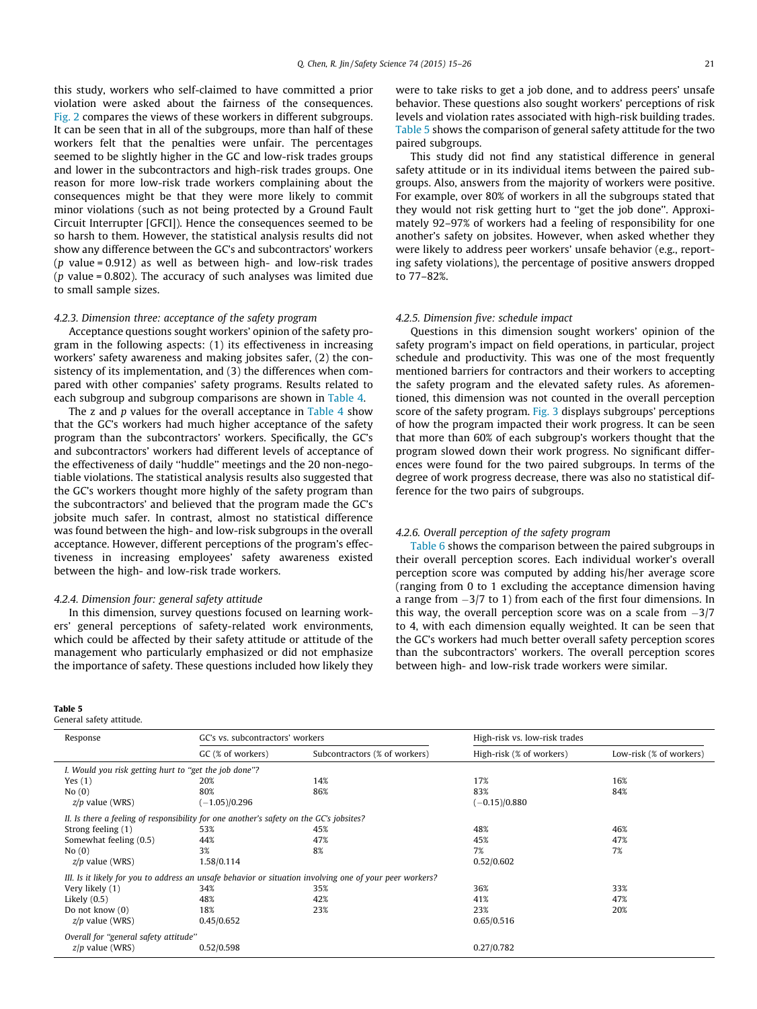<span id="page-7-0"></span>this study, workers who self-claimed to have committed a prior violation were asked about the fairness of the consequences. [Fig. 2](#page-6-0) compares the views of these workers in different subgroups. It can be seen that in all of the subgroups, more than half of these workers felt that the penalties were unfair. The percentages seemed to be slightly higher in the GC and low-risk trades groups and lower in the subcontractors and high-risk trades groups. One reason for more low-risk trade workers complaining about the consequences might be that they were more likely to commit minor violations (such as not being protected by a Ground Fault Circuit Interrupter [GFCI]). Hence the consequences seemed to be so harsh to them. However, the statistical analysis results did not show any difference between the GC's and subcontractors' workers ( $p$  value = 0.912) as well as between high- and low-risk trades ( $p$  value = 0.802). The accuracy of such analyses was limited due to small sample sizes.

## 4.2.3. Dimension three: acceptance of the safety program

Acceptance questions sought workers' opinion of the safety program in the following aspects: (1) its effectiveness in increasing workers' safety awareness and making jobsites safer, (2) the consistency of its implementation, and (3) the differences when compared with other companies' safety programs. Results related to each subgroup and subgroup comparisons are shown in [Table 4](#page-6-0).

The z and  $p$  values for the overall acceptance in [Table 4](#page-6-0) show that the GC's workers had much higher acceptance of the safety program than the subcontractors' workers. Specifically, the GC's and subcontractors' workers had different levels of acceptance of the effectiveness of daily ''huddle'' meetings and the 20 non-negotiable violations. The statistical analysis results also suggested that the GC's workers thought more highly of the safety program than the subcontractors' and believed that the program made the GC's jobsite much safer. In contrast, almost no statistical difference was found between the high- and low-risk subgroups in the overall acceptance. However, different perceptions of the program's effectiveness in increasing employees' safety awareness existed between the high- and low-risk trade workers.

## 4.2.4. Dimension four: general safety attitude

In this dimension, survey questions focused on learning workers' general perceptions of safety-related work environments, which could be affected by their safety attitude or attitude of the management who particularly emphasized or did not emphasize the importance of safety. These questions included how likely they

#### Table 5

General safety attitude.

were to take risks to get a job done, and to address peers' unsafe behavior. These questions also sought workers' perceptions of risk levels and violation rates associated with high-risk building trades. Table 5 shows the comparison of general safety attitude for the two paired subgroups.

This study did not find any statistical difference in general safety attitude or in its individual items between the paired subgroups. Also, answers from the majority of workers were positive. For example, over 80% of workers in all the subgroups stated that they would not risk getting hurt to ''get the job done''. Approximately 92–97% of workers had a feeling of responsibility for one another's safety on jobsites. However, when asked whether they were likely to address peer workers' unsafe behavior (e.g., reporting safety violations), the percentage of positive answers dropped to 77–82%.

#### 4.2.5. Dimension five: schedule impact

Questions in this dimension sought workers' opinion of the safety program's impact on field operations, in particular, project schedule and productivity. This was one of the most frequently mentioned barriers for contractors and their workers to accepting the safety program and the elevated safety rules. As aforementioned, this dimension was not counted in the overall perception score of the safety program. [Fig. 3](#page-8-0) displays subgroups' perceptions of how the program impacted their work progress. It can be seen that more than 60% of each subgroup's workers thought that the program slowed down their work progress. No significant differences were found for the two paired subgroups. In terms of the degree of work progress decrease, there was also no statistical difference for the two pairs of subgroups.

## 4.2.6. Overall perception of the safety program

[Table 6](#page-8-0) shows the comparison between the paired subgroups in their overall perception scores. Each individual worker's overall perception score was computed by adding his/her average score (ranging from 0 to 1 excluding the acceptance dimension having a range from  $-3/7$  to 1) from each of the first four dimensions. In this way, the overall perception score was on a scale from  $-3/7$ to 4, with each dimension equally weighted. It can be seen that the GC's workers had much better overall safety perception scores than the subcontractors' workers. The overall perception scores between high- and low-risk trade workers were similar.

| Response                                              | GC's vs. subcontractors' workers                                                        |                                                                                                          | High-risk vs. low-risk trades |                         |  |
|-------------------------------------------------------|-----------------------------------------------------------------------------------------|----------------------------------------------------------------------------------------------------------|-------------------------------|-------------------------|--|
| GC (% of workers)                                     |                                                                                         | Subcontractors (% of workers)                                                                            | High-risk (% of workers)      | Low-risk (% of workers) |  |
| I. Would you risk getting hurt to "get the job done"? |                                                                                         |                                                                                                          |                               |                         |  |
| Yes $(1)$                                             | 20%                                                                                     | 14%                                                                                                      | 17%                           | 16%                     |  |
| No(0)                                                 | 80%                                                                                     | 86%                                                                                                      | 83%                           | 84%                     |  |
| $z/p$ value (WRS)                                     | $(-1.05)/0.296$                                                                         |                                                                                                          | $(-0.15)/0.880$               |                         |  |
|                                                       | II. Is there a feeling of responsibility for one another's safety on the GC's jobsites? |                                                                                                          |                               |                         |  |
| Strong feeling (1)                                    | 53%                                                                                     | 45%                                                                                                      | 48%                           | 46%                     |  |
| Somewhat feeling (0.5)                                | 44%                                                                                     | 47%                                                                                                      | 45%                           | 47%                     |  |
| No(0)                                                 | 3%                                                                                      | 8%                                                                                                       | 7%                            | 7%                      |  |
| $z/p$ value (WRS)                                     | 1.58/0.114                                                                              |                                                                                                          | 0.52/0.602                    |                         |  |
|                                                       |                                                                                         | III. Is it likely for you to address an unsafe behavior or situation involving one of your peer workers? |                               |                         |  |
| Very likely (1)                                       | 34%                                                                                     | 35%                                                                                                      | 36%                           | 33%                     |  |
| Likely $(0.5)$                                        | 48%                                                                                     | 42%                                                                                                      | 41%                           | 47%                     |  |
| Do not know (0)                                       | 18%                                                                                     | 23%                                                                                                      | 23%                           | 20%                     |  |
| $z/p$ value (WRS)                                     | 0.45/0.652                                                                              |                                                                                                          | 0.65/0.516                    |                         |  |
| Overall for "general safety attitude"                 |                                                                                         |                                                                                                          |                               |                         |  |
| $z/p$ value (WRS)                                     | 0.52/0.598                                                                              |                                                                                                          | 0.27/0.782                    |                         |  |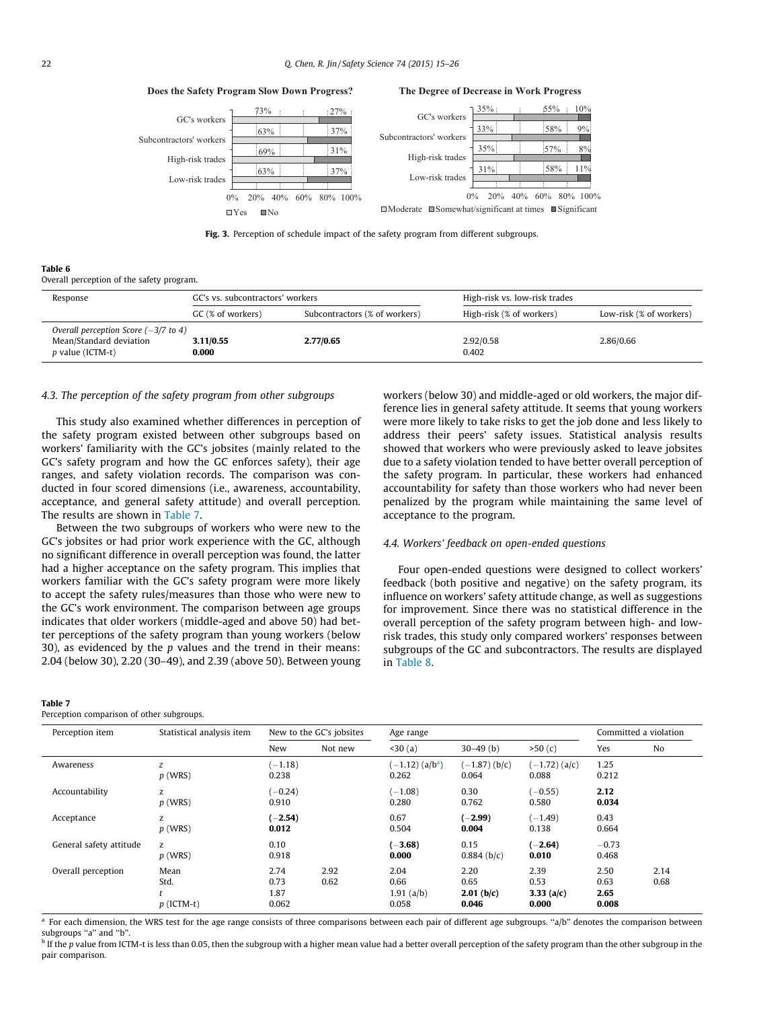<span id="page-8-0"></span>63% 69% 63% 73% 37% 31% 37% 27% 0% 20% 40% 60% 80% 100% Low-risk trades High-risk trades Subcontractors' workers GC's workers  $\Box$ Yes  $\Box$ No 31% 35% 33% 35% 58%  $570$ 58% 55% 11%  $80$ 9% 10% 0% 20% 40% 60% 80% 100% Low-risk trades High-risk trades Subcontractors' workers GC's workers  $\Box$ Moderate  $\Box$ Somewhat/significant at times  $\Box$ Significant

Fig. 3. Perception of schedule impact of the safety program from different subgroups.

|--|--|

Overall perception of the safety program.

| Response                                                                                              | GC's vs. subcontractors' workers |                               | High-risk vs. low-risk trades |                         |  |
|-------------------------------------------------------------------------------------------------------|----------------------------------|-------------------------------|-------------------------------|-------------------------|--|
|                                                                                                       | GC (% of workers)                | Subcontractors (% of workers) | High-risk (% of workers)      | Low-risk (% of workers) |  |
| Overall perception Score $(-3/7 \text{ to } 4)$<br>Mean/Standard deviation<br><i>p</i> value (ICTM-t) | 3.11/0.55<br>0.000               | 2.77/0.65                     | 2.92/0.58<br>0.402            | 2.86/0.66               |  |

#### 4.3. The perception of the safety program from other subgroups

**Does the Safety Program Slow Down Progress?**

This study also examined whether differences in perception of the safety program existed between other subgroups based on workers' familiarity with the GC's jobsites (mainly related to the GC's safety program and how the GC enforces safety), their age ranges, and safety violation records. The comparison was conducted in four scored dimensions (i.e., awareness, accountability, acceptance, and general safety attitude) and overall perception. The results are shown in Table 7.

Between the two subgroups of workers who were new to the GC's jobsites or had prior work experience with the GC, although no significant difference in overall perception was found, the latter had a higher acceptance on the safety program. This implies that workers familiar with the GC's safety program were more likely to accept the safety rules/measures than those who were new to the GC's work environment. The comparison between age groups indicates that older workers (middle-aged and above 50) had better perceptions of the safety program than young workers (below 30), as evidenced by the  $p$  values and the trend in their means: 2.04 (below 30), 2.20 (30–49), and 2.39 (above 50). Between young

#### Table 7

Perception comparison of other subgroups.

workers (below 30) and middle-aged or old workers, the major difference lies in general safety attitude. It seems that young workers were more likely to take risks to get the job done and less likely to address their peers' safety issues. Statistical analysis results showed that workers who were previously asked to leave jobsites due to a safety violation tended to have better overall perception of the safety program. In particular, these workers had enhanced accountability for safety than those workers who had never been penalized by the program while maintaining the same level of acceptance to the program.

## 4.4. Workers' feedback on open-ended questions

**The Degree of Decrease in Work Progress**

Four open-ended questions were designed to collect workers' feedback (both positive and negative) on the safety program, its influence on workers' safety attitude change, as well as suggestions for improvement. Since there was no statistical difference in the overall perception of the safety program between high- and lowrisk trades, this study only compared workers' responses between subgroups of the GC and subcontractors. The results are displayed in [Table 8.](#page-9-0)

| Perception item         | Statistical analysis item    |                               | New to the GC's jobsites | Age range                              |                                       | Committed a violation                 |                               |              |
|-------------------------|------------------------------|-------------------------------|--------------------------|----------------------------------------|---------------------------------------|---------------------------------------|-------------------------------|--------------|
|                         |                              | New                           | Not new                  | 30(a)                                  | $30-49$ (b)                           | >50(c)                                | Yes                           | No           |
| Awareness               | z<br>$p$ (WRS)               | $-1.18$<br>0.238              |                          | $(-1.12)$ (a/b <sup>a</sup> )<br>0.262 | $(-1.87)$ (b/c)<br>0.064              | $(-1.72)$ (a/c)<br>0.088              | 1.25<br>0.212                 |              |
| Accountability          | z<br>$p$ (WRS)               | $(-0.24)$<br>0.910            |                          | $(-1.08)$<br>0.280                     | 0.30<br>0.762                         | $(-0.55)$<br>0.580                    | 2.12<br>0.034                 |              |
| Acceptance              | z<br>$p$ (WRS)               | $(-2.54)$<br>0.012            |                          | 0.67<br>0.504                          | $(-2.99)$<br>0.004                    | $(-1.49)$<br>0.138                    | 0.43<br>0.664                 |              |
| General safety attitude | Z<br>$p$ (WRS)               | 0.10<br>0.918                 |                          | $(-3.68)$<br>0.000                     | 0.15<br>$0.884$ ( $b/c$ )             | $(-2.64)$<br>0.010                    | $-0.73$<br>0.468              |              |
| Overall perception      | Mean<br>Std.<br>$p$ (ICTM-t) | 2.74<br>0.73<br>1.87<br>0.062 | 2.92<br>0.62             | 2.04<br>0.66<br>$1.91$ (a/b)<br>0.058  | 2.20<br>0.65<br>$2.01$ (b/c)<br>0.046 | 2.39<br>0.53<br>3.33 $(a/c)$<br>0.000 | 2.50<br>0.63<br>2.65<br>0.008 | 2.14<br>0.68 |

<sup>a</sup> For each dimension, the WRS test for the age range consists of three comparisons between each pair of different age subgroups. "a/b" denotes the comparison between subgroups "a" and "b"

 $\frac{b}{b}$  If the p value from ICTM-t is less than 0.05, then the subgroup with a higher mean value had a better overall perception of the safety program than the other subgroup in the pair comparison.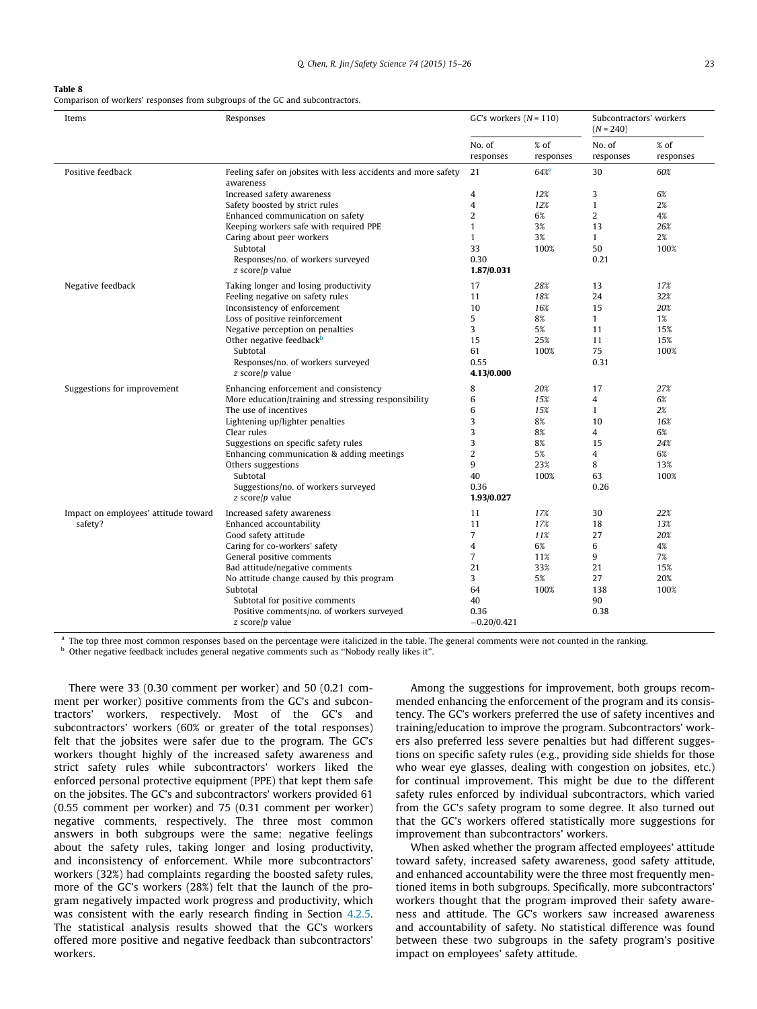#### <span id="page-9-0"></span>Table 8

Comparison of workers' responses from subgroups of the GC and subcontractors.

| Items                                | Responses                                                                  | GC's workers $(N = 110)$ |                   | Subcontractors' workers<br>$(N = 240)$ |                     |
|--------------------------------------|----------------------------------------------------------------------------|--------------------------|-------------------|----------------------------------------|---------------------|
|                                      |                                                                            | No. of<br>responses      | % of<br>responses | No. of<br>responses                    | $%$ of<br>responses |
| Positive feedback                    | Feeling safer on jobsites with less accidents and more safety<br>awareness | 21                       | 64%               | 30                                     | 60%                 |
|                                      | Increased safety awareness                                                 | $\overline{4}$           | 12%               | 3                                      | 6%                  |
|                                      | Safety boosted by strict rules                                             | $\overline{4}$           | 12%               | $\mathbf{1}$                           | 2%                  |
|                                      | Enhanced communication on safety                                           | $\overline{2}$           | 6%                | $\overline{2}$                         | 4%                  |
|                                      | Keeping workers safe with required PPE                                     | $\mathbf{1}$             | 3%                | 13                                     | 26%                 |
|                                      | Caring about peer workers                                                  | $\mathbf{1}$             | 3%                | $\mathbf{1}$                           | 2%                  |
|                                      | Subtotal                                                                   | 33                       | 100%              | 50                                     | 100%                |
|                                      | Responses/no. of workers surveyed                                          | 0.30                     |                   | 0.21                                   |                     |
|                                      | $z$ score/p value                                                          | 1.87/0.031               |                   |                                        |                     |
| Negative feedback                    | Taking longer and losing productivity                                      | 17                       | 28%               | 13                                     | 17%                 |
|                                      | Feeling negative on safety rules                                           | 11                       | 18%               | 24                                     | 32%                 |
|                                      | Inconsistency of enforcement                                               | 10                       | 16%               | 15                                     | 20%                 |
|                                      | Loss of positive reinforcement                                             | 5                        | 8%                | $\mathbf{1}$                           | 1%                  |
|                                      | Negative perception on penalties                                           | 3                        | 5%                | 11                                     | 15%                 |
|                                      | Other negative feedback <sup>b</sup>                                       | 15                       | 25%               | 11                                     | 15%                 |
|                                      | Subtotal                                                                   | 61                       | 100%              | 75                                     | 100%                |
|                                      | Responses/no. of workers surveyed                                          | 0.55                     |                   | 0.31                                   |                     |
|                                      | $z$ score/p value                                                          | 4.13/0.000               |                   |                                        |                     |
| Suggestions for improvement          | Enhancing enforcement and consistency                                      | 8                        | 20%               | 17                                     | 27%                 |
|                                      | More education/training and stressing responsibility                       | 6                        | 15%               | $\overline{4}$                         | 6%                  |
|                                      | The use of incentives                                                      | 6                        | 15%               | $\mathbf{1}$                           | 2%                  |
|                                      | Lightening up/lighter penalties                                            | 3                        | 8%                | 10                                     | 16%                 |
|                                      | Clear rules                                                                | 3                        | 8%                | 4                                      | 6%                  |
|                                      | Suggestions on specific safety rules                                       | 3                        | 8%                | 15                                     | 24%                 |
|                                      | Enhancing communication & adding meetings                                  | $\overline{2}$           | 5%                | 4                                      | 6%                  |
|                                      | Others suggestions                                                         | 9                        | 23%               | 8                                      | 13%                 |
|                                      | Subtotal                                                                   | 40                       | 100%              | 63                                     | 100%                |
|                                      | Suggestions/no. of workers surveyed                                        | 0.36                     |                   | 0.26                                   |                     |
|                                      | $z$ score/p value                                                          | 1.93/0.027               |                   |                                        |                     |
| Impact on employees' attitude toward | Increased safety awareness                                                 | 11                       | 17%               | 30                                     | 22%                 |
| safety?                              | Enhanced accountability                                                    | 11                       | 17%               | 18                                     | 13%                 |
|                                      | Good safety attitude                                                       | $\overline{7}$           | 11%               | 27                                     | 20%                 |
|                                      | Caring for co-workers' safety                                              | 4                        | 6%                | 6                                      | 4%                  |
|                                      | General positive comments                                                  | $\overline{7}$           | 11%               | 9                                      | 7%                  |
|                                      | Bad attitude/negative comments                                             | 21                       | 33%               | 21                                     | 15%                 |
|                                      | No attitude change caused by this program                                  | 3                        | 5%                | 27                                     | 20%                 |
|                                      | Subtotal                                                                   | 64                       | 100%              | 138                                    | 100%                |
|                                      | Subtotal for positive comments                                             | 40                       |                   | 90                                     |                     |
|                                      | Positive comments/no. of workers surveyed                                  | 0.36                     |                   | 0.38                                   |                     |
|                                      | $z$ score/p value                                                          | $-0.20/0.421$            |                   |                                        |                     |

<sup>a</sup> The top three most common responses based on the percentage were italicized in the table. The general comments were not counted in the ranking. <sup>b</sup> Other negative feedback includes general negative comments such as ''Nobody really likes it''.

There were 33 (0.30 comment per worker) and 50 (0.21 comment per worker) positive comments from the GC's and subcontractors' workers, respectively. Most of the GC's and subcontractors' workers (60% or greater of the total responses) felt that the jobsites were safer due to the program. The GC's workers thought highly of the increased safety awareness and strict safety rules while subcontractors' workers liked the enforced personal protective equipment (PPE) that kept them safe on the jobsites. The GC's and subcontractors' workers provided 61 (0.55 comment per worker) and 75 (0.31 comment per worker) negative comments, respectively. The three most common answers in both subgroups were the same: negative feelings about the safety rules, taking longer and losing productivity, and inconsistency of enforcement. While more subcontractors' workers (32%) had complaints regarding the boosted safety rules, more of the GC's workers (28%) felt that the launch of the program negatively impacted work progress and productivity, which was consistent with the early research finding in Section [4.2.5.](#page-7-0) The statistical analysis results showed that the GC's workers offered more positive and negative feedback than subcontractors' workers.

Among the suggestions for improvement, both groups recommended enhancing the enforcement of the program and its consistency. The GC's workers preferred the use of safety incentives and training/education to improve the program. Subcontractors' workers also preferred less severe penalties but had different suggestions on specific safety rules (e.g., providing side shields for those who wear eye glasses, dealing with congestion on jobsites, etc.) for continual improvement. This might be due to the different safety rules enforced by individual subcontractors, which varied from the GC's safety program to some degree. It also turned out that the GC's workers offered statistically more suggestions for improvement than subcontractors' workers.

When asked whether the program affected employees' attitude toward safety, increased safety awareness, good safety attitude, and enhanced accountability were the three most frequently mentioned items in both subgroups. Specifically, more subcontractors' workers thought that the program improved their safety awareness and attitude. The GC's workers saw increased awareness and accountability of safety. No statistical difference was found between these two subgroups in the safety program's positive impact on employees' safety attitude.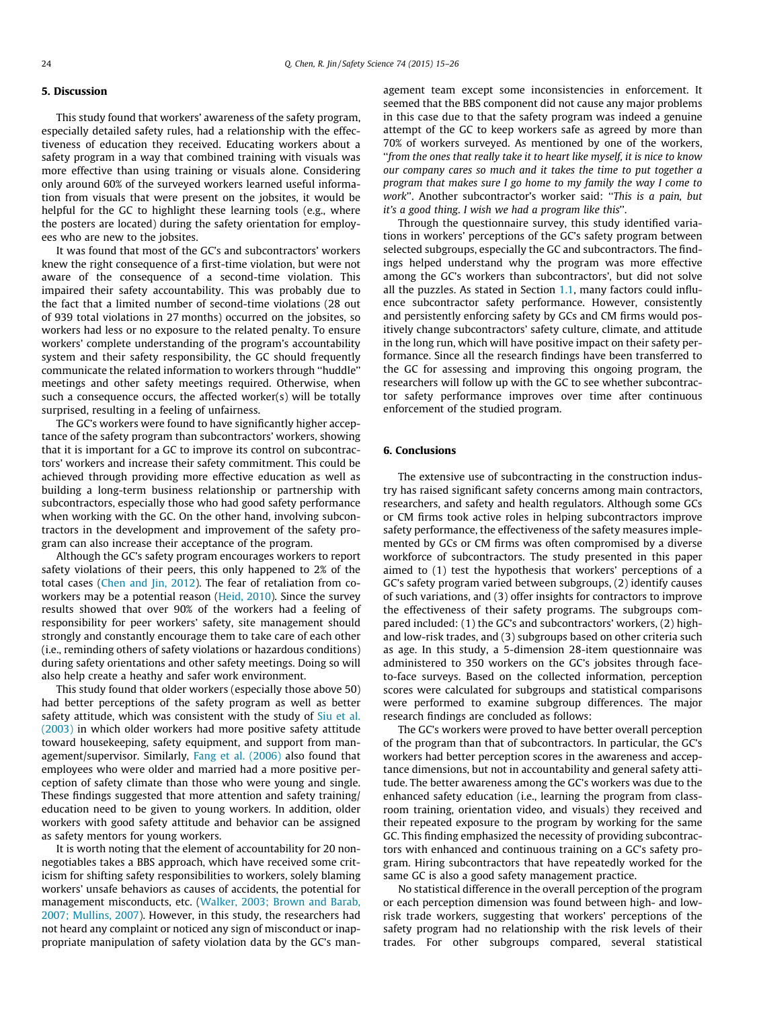## 5. Discussion

This study found that workers' awareness of the safety program, especially detailed safety rules, had a relationship with the effectiveness of education they received. Educating workers about a safety program in a way that combined training with visuals was more effective than using training or visuals alone. Considering only around 60% of the surveyed workers learned useful information from visuals that were present on the jobsites, it would be helpful for the GC to highlight these learning tools (e.g., where the posters are located) during the safety orientation for employees who are new to the jobsites.

It was found that most of the GC's and subcontractors' workers knew the right consequence of a first-time violation, but were not aware of the consequence of a second-time violation. This impaired their safety accountability. This was probably due to the fact that a limited number of second-time violations (28 out of 939 total violations in 27 months) occurred on the jobsites, so workers had less or no exposure to the related penalty. To ensure workers' complete understanding of the program's accountability system and their safety responsibility, the GC should frequently communicate the related information to workers through ''huddle'' meetings and other safety meetings required. Otherwise, when such a consequence occurs, the affected worker(s) will be totally surprised, resulting in a feeling of unfairness.

The GC's workers were found to have significantly higher acceptance of the safety program than subcontractors' workers, showing that it is important for a GC to improve its control on subcontractors' workers and increase their safety commitment. This could be achieved through providing more effective education as well as building a long-term business relationship or partnership with subcontractors, especially those who had good safety performance when working with the GC. On the other hand, involving subcontractors in the development and improvement of the safety program can also increase their acceptance of the program.

Although the GC's safety program encourages workers to report safety violations of their peers, this only happened to 2% of the total cases ([Chen and Jin, 2012\)](#page-11-0). The fear of retaliation from coworkers may be a potential reason ([Heid, 2010](#page-11-0)). Since the survey results showed that over 90% of the workers had a feeling of responsibility for peer workers' safety, site management should strongly and constantly encourage them to take care of each other (i.e., reminding others of safety violations or hazardous conditions) during safety orientations and other safety meetings. Doing so will also help create a heathy and safer work environment.

This study found that older workers (especially those above 50) had better perceptions of the safety program as well as better safety attitude, which was consistent with the study of [Siu et al.](#page-11-0) [\(2003\)](#page-11-0) in which older workers had more positive safety attitude toward housekeeping, safety equipment, and support from management/supervisor. Similarly, [Fang et al. \(2006\)](#page-11-0) also found that employees who were older and married had a more positive perception of safety climate than those who were young and single. These findings suggested that more attention and safety training/ education need to be given to young workers. In addition, older workers with good safety attitude and behavior can be assigned as safety mentors for young workers.

It is worth noting that the element of accountability for 20 nonnegotiables takes a BBS approach, which have received some criticism for shifting safety responsibilities to workers, solely blaming workers' unsafe behaviors as causes of accidents, the potential for management misconducts, etc. ([Walker, 2003; Brown and Barab,](#page-12-0) [2007; Mullins, 2007](#page-12-0)). However, in this study, the researchers had not heard any complaint or noticed any sign of misconduct or inappropriate manipulation of safety violation data by the GC's management team except some inconsistencies in enforcement. It seemed that the BBS component did not cause any major problems in this case due to that the safety program was indeed a genuine attempt of the GC to keep workers safe as agreed by more than 70% of workers surveyed. As mentioned by one of the workers, ''from the ones that really take it to heart like myself, it is nice to know our company cares so much and it takes the time to put together a program that makes sure I go home to my family the way I come to work''. Another subcontractor's worker said: ''This is a pain, but it's a good thing. I wish we had a program like this''.

Through the questionnaire survey, this study identified variations in workers' perceptions of the GC's safety program between selected subgroups, especially the GC and subcontractors. The findings helped understand why the program was more effective among the GC's workers than subcontractors', but did not solve all the puzzles. As stated in Section [1.1,](#page-2-0) many factors could influence subcontractor safety performance. However, consistently and persistently enforcing safety by GCs and CM firms would positively change subcontractors' safety culture, climate, and attitude in the long run, which will have positive impact on their safety performance. Since all the research findings have been transferred to the GC for assessing and improving this ongoing program, the researchers will follow up with the GC to see whether subcontractor safety performance improves over time after continuous enforcement of the studied program.

## 6. Conclusions

The extensive use of subcontracting in the construction industry has raised significant safety concerns among main contractors, researchers, and safety and health regulators. Although some GCs or CM firms took active roles in helping subcontractors improve safety performance, the effectiveness of the safety measures implemented by GCs or CM firms was often compromised by a diverse workforce of subcontractors. The study presented in this paper aimed to (1) test the hypothesis that workers' perceptions of a GC's safety program varied between subgroups, (2) identify causes of such variations, and (3) offer insights for contractors to improve the effectiveness of their safety programs. The subgroups compared included: (1) the GC's and subcontractors' workers, (2) highand low-risk trades, and (3) subgroups based on other criteria such as age. In this study, a 5-dimension 28-item questionnaire was administered to 350 workers on the GC's jobsites through faceto-face surveys. Based on the collected information, perception scores were calculated for subgroups and statistical comparisons were performed to examine subgroup differences. The major research findings are concluded as follows:

The GC's workers were proved to have better overall perception of the program than that of subcontractors. In particular, the GC's workers had better perception scores in the awareness and acceptance dimensions, but not in accountability and general safety attitude. The better awareness among the GC's workers was due to the enhanced safety education (i.e., learning the program from classroom training, orientation video, and visuals) they received and their repeated exposure to the program by working for the same GC. This finding emphasized the necessity of providing subcontractors with enhanced and continuous training on a GC's safety program. Hiring subcontractors that have repeatedly worked for the same GC is also a good safety management practice.

No statistical difference in the overall perception of the program or each perception dimension was found between high- and lowrisk trade workers, suggesting that workers' perceptions of the safety program had no relationship with the risk levels of their trades. For other subgroups compared, several statistical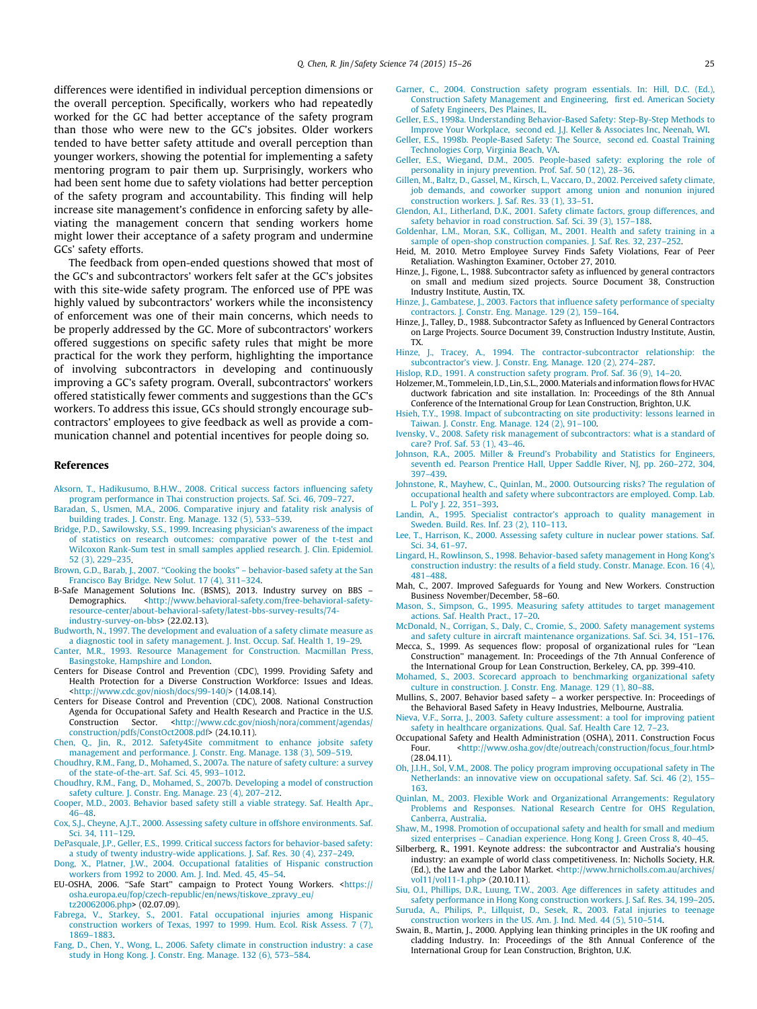<span id="page-11-0"></span>differences were identified in individual perception dimensions or the overall perception. Specifically, workers who had repeatedly worked for the GC had better acceptance of the safety program than those who were new to the GC's jobsites. Older workers tended to have better safety attitude and overall perception than younger workers, showing the potential for implementing a safety mentoring program to pair them up. Surprisingly, workers who had been sent home due to safety violations had better perception of the safety program and accountability. This finding will help increase site management's confidence in enforcing safety by alleviating the management concern that sending workers home might lower their acceptance of a safety program and undermine GCs' safety efforts.

The feedback from open-ended questions showed that most of the GC's and subcontractors' workers felt safer at the GC's jobsites with this site-wide safety program. The enforced use of PPE was highly valued by subcontractors' workers while the inconsistency of enforcement was one of their main concerns, which needs to be properly addressed by the GC. More of subcontractors' workers offered suggestions on specific safety rules that might be more practical for the work they perform, highlighting the importance of involving subcontractors in developing and continuously improving a GC's safety program. Overall, subcontractors' workers offered statistically fewer comments and suggestions than the GC's workers. To address this issue, GCs should strongly encourage subcontractors' employees to give feedback as well as provide a communication channel and potential incentives for people doing so.

#### References

- [Aksorn, T., Hadikusumo, B.H.W., 2008. Critical success factors influencing safety](http://refhub.elsevier.com/S0925-7535(14)00309-9/h0005) [program performance in Thai construction projects. Saf. Sci. 46, 709–727](http://refhub.elsevier.com/S0925-7535(14)00309-9/h0005).
- [Baradan, S., Usmen, M.A., 2006. Comparative injury and fatality risk analysis of](http://refhub.elsevier.com/S0925-7535(14)00309-9/h0010) [building trades. J. Constr. Eng. Manage. 132 \(5\), 533–539](http://refhub.elsevier.com/S0925-7535(14)00309-9/h0010).
- [Bridge, P.D., Sawilowsky, S.S., 1999. Increasing physician's awareness of the impact](http://refhub.elsevier.com/S0925-7535(14)00309-9/h0015) [of statistics on research outcomes: comparative power of the t-test and](http://refhub.elsevier.com/S0925-7535(14)00309-9/h0015) [Wilcoxon Rank-Sum test in small samples applied research. J. Clin. Epidemiol.](http://refhub.elsevier.com/S0925-7535(14)00309-9/h0015) [52 \(3\), 229–235](http://refhub.elsevier.com/S0925-7535(14)00309-9/h0015).
- Brown, G.D., Barab, J., 2007. "Cooking the books" behavior-based safety at the San [Francisco Bay Bridge. New Solut. 17 \(4\), 311–324.](http://refhub.elsevier.com/S0925-7535(14)00309-9/h0020)
- B-Safe Management Solutions Inc. (BSMS), 2013. Industry survey on BBS Demographics. <[http://www.behavioral-safety.com/free-behavioral-safety](http://www.behavioral-safety.com/free-behavioral-safety-resource-center/about-behavioral-safety/latest-bbs-survey-results/74-industry-survey-on-bbs)[resource-center/about-behavioral-safety/latest-bbs-survey-results/74](http://www.behavioral-safety.com/free-behavioral-safety-resource-center/about-behavioral-safety/latest-bbs-survey-results/74-industry-survey-on-bbs) [industry-survey-on-bbs](http://www.behavioral-safety.com/free-behavioral-safety-resource-center/about-behavioral-safety/latest-bbs-survey-results/74-industry-survey-on-bbs)> (22.02.13).
- [Budworth, N., 1997. The development and evaluation of a safety climate measure as](http://refhub.elsevier.com/S0925-7535(14)00309-9/h0030) [a diagnostic tool in safety management. J. Inst. Occup. Saf. Health 1, 19–29](http://refhub.elsevier.com/S0925-7535(14)00309-9/h0030).
- [Canter, M.R., 1993. Resource Management for Construction. Macmillan Press,](http://refhub.elsevier.com/S0925-7535(14)00309-9/h0035) [Basingstoke, Hampshire and London](http://refhub.elsevier.com/S0925-7535(14)00309-9/h0035).
- Centers for Disease Control and Prevention (CDC), 1999. Providing Safety and Health Protection for a Diverse Construction Workforce: Issues and Ideas. [<http://www.cdc.gov/niosh/docs/99-140/>](http://www.cdc.gov/niosh/docs/99-140/) (14.08.14).
- Centers for Disease Control and Prevention (CDC), 2008. National Construction Agenda for Occupational Safety and Health Research and Practice in the U.S. Construction Sector. < [http://www.cdc.gov/niosh/nora/comment/agendas/](http://www.cdc.gov/niosh/nora/comment/agendas/construction/pdfs/ConstOct2008.pdf) [construction/pdfs/ConstOct2008.pdf>](http://www.cdc.gov/niosh/nora/comment/agendas/construction/pdfs/ConstOct2008.pdf) (24.10.11).
- [Chen, Q., Jin, R., 2012. Safety4Site commitment to enhance jobsite safety](http://refhub.elsevier.com/S0925-7535(14)00309-9/h0050) [management and performance. J. Constr. Eng. Manage. 138 \(3\), 509–519.](http://refhub.elsevier.com/S0925-7535(14)00309-9/h0050)
- [Choudhry, R.M., Fang, D., Mohamed, S., 2007a. The nature of safety culture: a survey](http://refhub.elsevier.com/S0925-7535(14)00309-9/h0055) [of the state-of-the-art. Saf. Sci. 45, 993–1012.](http://refhub.elsevier.com/S0925-7535(14)00309-9/h0055)
- [Choudhry, R.M., Fang, D., Mohamed, S., 2007b. Developing a model of construction](http://refhub.elsevier.com/S0925-7535(14)00309-9/h0060) [safety culture. J. Constr. Eng. Manage. 23 \(4\), 207–212](http://refhub.elsevier.com/S0925-7535(14)00309-9/h0060).
- [Cooper, M.D., 2003. Behavior based safety still a viable strategy. Saf. Health Apr.,](http://refhub.elsevier.com/S0925-7535(14)00309-9/h0065) [46–48.](http://refhub.elsevier.com/S0925-7535(14)00309-9/h0065)
- [Cox, S.J., Cheyne, A.J.T., 2000. Assessing safety culture in offshore environments. Saf.](http://refhub.elsevier.com/S0925-7535(14)00309-9/h0070) [Sci. 34, 111–129.](http://refhub.elsevier.com/S0925-7535(14)00309-9/h0070)
- [DePasquale, J.P., Geller, E.S., 1999. Critical success factors for behavior-based safety:](http://refhub.elsevier.com/S0925-7535(14)00309-9/h0075) [a study of twenty industry-wide applications. J. Saf. Res. 30 \(4\), 237–249](http://refhub.elsevier.com/S0925-7535(14)00309-9/h0075).
- [Dong, X., Platner, J.W., 2004. Occupational fatalities of Hispanic construction](http://refhub.elsevier.com/S0925-7535(14)00309-9/h0080) [workers from 1992 to 2000. Am. J. Ind. Med. 45, 45–54](http://refhub.elsevier.com/S0925-7535(14)00309-9/h0080).
- EU-OSHA, 2006. ''Safe Start'' campaign to Protect Young Workers. <[https://](https://osha.europa.eu/fop/czech-republic/en/news/tiskove_zpravy_eu/tz20062006.php) [osha.europa.eu/fop/czech-republic/en/news/tiskove\\_zpravy\\_eu/](https://osha.europa.eu/fop/czech-republic/en/news/tiskove_zpravy_eu/tz20062006.php) [tz20062006.php>](https://osha.europa.eu/fop/czech-republic/en/news/tiskove_zpravy_eu/tz20062006.php) (02.07.09).
- [Fabrega, V., Starkey, S., 2001. Fatal occupational injuries among Hispanic](http://refhub.elsevier.com/S0925-7535(14)00309-9/h0090) [construction workers of Texas, 1997 to 1999. Hum. Ecol. Risk Assess. 7 \(7\),](http://refhub.elsevier.com/S0925-7535(14)00309-9/h0090) [1869–1883.](http://refhub.elsevier.com/S0925-7535(14)00309-9/h0090)
- [Fang, D., Chen, Y., Wong, L., 2006. Safety climate in construction industry: a case](http://refhub.elsevier.com/S0925-7535(14)00309-9/h0095) [study in Hong Kong. J. Constr. Eng. Manage. 132 \(6\), 573–584.](http://refhub.elsevier.com/S0925-7535(14)00309-9/h0095)
- [Garner, C., 2004. Construction safety program essentials. In: Hill, D.C. \(Ed.\),](http://refhub.elsevier.com/S0925-7535(14)00309-9/h0100) [Construction Safety Management and Engineering, first ed. American Society](http://refhub.elsevier.com/S0925-7535(14)00309-9/h0100) [of Safety Engineers, Des Plaines, IL.](http://refhub.elsevier.com/S0925-7535(14)00309-9/h0100)
- [Geller, E.S., 1998a. Understanding Behavior-Based Safety: Step-By-Step Methods to](http://refhub.elsevier.com/S0925-7535(14)00309-9/h0105) [Improve Your Workplace, second ed. J.J. Keller & Associates Inc, Neenah, WI](http://refhub.elsevier.com/S0925-7535(14)00309-9/h0105).
- [Geller, E.S., 1998b. People-Based Safety: The Source, second ed. Coastal Training](http://refhub.elsevier.com/S0925-7535(14)00309-9/h0110) [Technologies Corp, Virginia Beach, VA.](http://refhub.elsevier.com/S0925-7535(14)00309-9/h0110)
- [Geller, E.S., Wiegand, D.M., 2005. People-based safety: exploring the role of](http://refhub.elsevier.com/S0925-7535(14)00309-9/h0115) [personality in injury prevention. Prof. Saf. 50 \(12\), 28–36.](http://refhub.elsevier.com/S0925-7535(14)00309-9/h0115)
- [Gillen, M., Baltz, D., Gassel, M., Kirsch, L., Vaccaro, D., 2002. Perceived safety climate,](http://refhub.elsevier.com/S0925-7535(14)00309-9/h0120) [job demands, and coworker support among union and nonunion injured](http://refhub.elsevier.com/S0925-7535(14)00309-9/h0120) [construction workers. J. Saf. Res. 33 \(1\), 33–51](http://refhub.elsevier.com/S0925-7535(14)00309-9/h0120).
- [Glendon, A.I., Litherland, D.K., 2001. Safety climate factors, group differences, and](http://refhub.elsevier.com/S0925-7535(14)00309-9/h0125) [safety behavior in road construction. Saf. Sci. 39 \(3\), 157–188](http://refhub.elsevier.com/S0925-7535(14)00309-9/h0125).
- [Goldenhar, L.M., Moran, S.K., Colligan, M., 2001. Health and safety training in a](http://refhub.elsevier.com/S0925-7535(14)00309-9/h0130) [sample of open-shop construction companies. J. Saf. Res. 32, 237–252](http://refhub.elsevier.com/S0925-7535(14)00309-9/h0130).
- Heid, M. 2010. Metro Employee Survey Finds Safety Violations, Fear of Peer Retaliation. Washington Examiner, October 27, 2010.
- Hinze, J., Figone, L., 1988. Subcontractor safety as influenced by general contractors on small and medium sized projects. Source Document 38, Construction Industry Institute, Austin, TX.
- [Hinze, J., Gambatese, J., 2003. Factors that influence safety performance of specialty](http://refhub.elsevier.com/S0925-7535(14)00309-9/h0145) [contractors. J. Constr. Eng. Manage. 129 \(2\), 159–164](http://refhub.elsevier.com/S0925-7535(14)00309-9/h0145).
- Hinze, J., Talley, D., 1988. Subcontractor Safety as Influenced by General Contractors on Large Projects. Source Document 39, Construction Industry Institute, Austin, TX.
- [Hinze, J., Tracey, A., 1994. The contractor-subcontractor relationship: the](http://refhub.elsevier.com/S0925-7535(14)00309-9/h0155) [subcontractor's view. J. Constr. Eng. Manage. 120 \(2\), 274–287](http://refhub.elsevier.com/S0925-7535(14)00309-9/h0155).
- [Hislop, R.D., 1991. A construction safety program. Prof. Saf. 36 \(9\), 14–20.](http://refhub.elsevier.com/S0925-7535(14)00309-9/h0160) Holzemer, M., Tommelein, I.D., Lin, S.L., 2000. Materials and information flows for HVAC
- ductwork fabrication and site installation. In: Proceedings of the 8th Annual Conference of the International Group for Lean Construction, Brighton, U.K. [Hsieh, T.Y., 1998. Impact of subcontracting on site productivity: lessons learned in](http://refhub.elsevier.com/S0925-7535(14)00309-9/h0170)
- [Taiwan. J. Constr. Eng. Manage. 124 \(2\), 91–100](http://refhub.elsevier.com/S0925-7535(14)00309-9/h0170).
- [Ivensky, V., 2008. Safety risk management of subcontractors: what is a standard of](http://refhub.elsevier.com/S0925-7535(14)00309-9/h0175) [care? Prof. Saf. 53 \(1\), 43–46](http://refhub.elsevier.com/S0925-7535(14)00309-9/h0175).
- [Johnson, R.A., 2005. Miller & Freund's Probability and Statistics for Engineers,](http://refhub.elsevier.com/S0925-7535(14)00309-9/h0180) [seventh ed. Pearson Prentice Hall, Upper Saddle River, NJ, pp. 260–272, 304,](http://refhub.elsevier.com/S0925-7535(14)00309-9/h0180) [397–439](http://refhub.elsevier.com/S0925-7535(14)00309-9/h0180).
- [Johnstone, R., Mayhew, C., Quinlan, M., 2000. Outsourcing risks? The regulation of](http://refhub.elsevier.com/S0925-7535(14)00309-9/h0185) [occupational health and safety where subcontractors are employed. Comp. Lab.](http://refhub.elsevier.com/S0925-7535(14)00309-9/h0185) [L. Pol'y J. 22, 351–393.](http://refhub.elsevier.com/S0925-7535(14)00309-9/h0185)
- [Landin, A., 1995. Specialist contractor's approach to quality management in](http://refhub.elsevier.com/S0925-7535(14)00309-9/h0190) [Sweden. Build. Res. Inf. 23 \(2\), 110–113.](http://refhub.elsevier.com/S0925-7535(14)00309-9/h0190)
- [Lee, T., Harrison, K., 2000. Assessing safety culture in nuclear power stations. Saf.](http://refhub.elsevier.com/S0925-7535(14)00309-9/h0195) [Sci. 34, 61–97](http://refhub.elsevier.com/S0925-7535(14)00309-9/h0195).
- [Lingard, H., Rowlinson, S., 1998. Behavior-based safety management in Hong Kong's](http://refhub.elsevier.com/S0925-7535(14)00309-9/h0200) [construction industry: the results of a field study. Constr. Manage. Econ. 16 \(4\),](http://refhub.elsevier.com/S0925-7535(14)00309-9/h0200) [481–488](http://refhub.elsevier.com/S0925-7535(14)00309-9/h0200).
- Mah, C., 2007. Improved Safeguards for Young and New Workers. Construction Business November/December, 58–60.
- [Mason, S., Simpson, G., 1995. Measuring safety attitudes to target management](http://refhub.elsevier.com/S0925-7535(14)00309-9/h0210) [actions. Saf. Health Pract., 17–20](http://refhub.elsevier.com/S0925-7535(14)00309-9/h0210).
- [McDonald, N., Corrigan, S., Daly, C., Cromie, S., 2000. Safety management systems](http://refhub.elsevier.com/S0925-7535(14)00309-9/h0215) [and safety culture in aircraft maintenance organizations. Saf. Sci. 34, 151–176.](http://refhub.elsevier.com/S0925-7535(14)00309-9/h0215)
- Mecca, S., 1999. As sequences flow: proposal of organizational rules for ''Lean Construction'' management. In: Proceedings of the 7th Annual Conference of the International Group for Lean Construction, Berkeley, CA, pp. 399-410.
- [Mohamed, S., 2003. Scorecard approach to benchmarking organizational safety](http://refhub.elsevier.com/S0925-7535(14)00309-9/h0225) [culture in construction. J. Constr. Eng. Manage. 129 \(1\), 80–88](http://refhub.elsevier.com/S0925-7535(14)00309-9/h0225).
- Mullins, S., 2007. Behavior based safety a worker perspective. In: Proceedings of the Behavioral Based Safety in Heavy Industries, Melbourne, Australia.
- [Nieva, V.F., Sorra, J., 2003. Safety culture assessment: a tool for improving patient](http://refhub.elsevier.com/S0925-7535(14)00309-9/h0235) [safety in healthcare organizations. Qual. Saf. Health Care 12, 7–23.](http://refhub.elsevier.com/S0925-7535(14)00309-9/h0235)
- Occupational Safety and Health Administration (OSHA), 2011. Construction Focus Four. [<http://www.osha.gov/dte/outreach/construction/focus\\_four.html>](http://www.osha.gov/dte/outreach/construction/focus_four.html) (28.04.11).
- [Oh, J.I.H., Sol, V.M., 2008. The policy program improving occupational safety in The](http://refhub.elsevier.com/S0925-7535(14)00309-9/h0245) [Netherlands: an innovative view on occupational safety. Saf. Sci. 46 \(2\), 155–](http://refhub.elsevier.com/S0925-7535(14)00309-9/h0245) [163.](http://refhub.elsevier.com/S0925-7535(14)00309-9/h0245)
- [Quinlan, M., 2003. Flexible Work and Organizational Arrangements: Regulatory](http://refhub.elsevier.com/S0925-7535(14)00309-9/h0250) [Problems and Responses. National Research Centre for OHS Regulation,](http://refhub.elsevier.com/S0925-7535(14)00309-9/h0250) [Canberra, Australia](http://refhub.elsevier.com/S0925-7535(14)00309-9/h0250).
- [Shaw, M., 1998. Promotion of occupational safety and health for small and medium](http://refhub.elsevier.com/S0925-7535(14)00309-9/h0255) [sized enterprises – Canadian experience. Hong Kong J. Green Cross 8, 40–45.](http://refhub.elsevier.com/S0925-7535(14)00309-9/h0255)
- Silberberg, R., 1991. Keynote address: the subcontractor and Australia's housing industry: an example of world class competitiveness. In: Nicholls Society, H.R. (Ed.), the Law and the Labor Market. [<http://www.hrnicholls.com.au/archives/](http://www.hrnicholls.com.au/archives/vol11/vol11-1.php) [vol11/vol11-1.php](http://www.hrnicholls.com.au/archives/vol11/vol11-1.php)> (20.10.11).
- [Siu, O.l., Phillips, D.R., Luung, T.W., 2003. Age differences in safety attitudes and](http://refhub.elsevier.com/S0925-7535(14)00309-9/h0265) [safety performance in Hong Kong construction workers. J. Saf. Res. 34, 199–205.](http://refhub.elsevier.com/S0925-7535(14)00309-9/h0265) [Suruda, A., Philips, P., Lillquist, D., Sesek, R., 2003. Fatal injuries to teenage](http://refhub.elsevier.com/S0925-7535(14)00309-9/h0270)
- [construction workers in the US. Am. J. Ind. Med. 44 \(5\), 510–514](http://refhub.elsevier.com/S0925-7535(14)00309-9/h0270).
- Swain, B., Martin, J., 2000. Applying lean thinking principles in the UK roofing and cladding Industry. In: Proceedings of the 8th Annual Conference of the International Group for Lean Construction, Brighton, U.K.